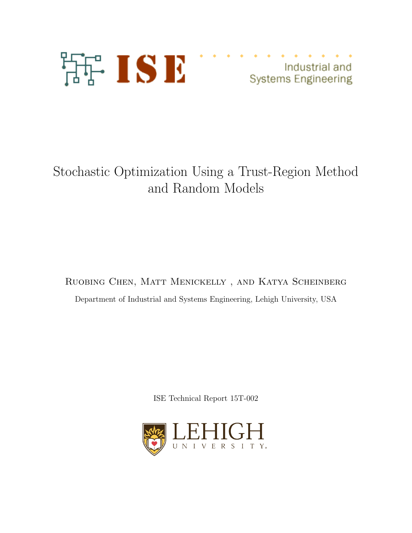

Industrial and **Systems Engineering** 

# Stochastic Optimization Using a Trust-Region Method and Random Models

Ruobing Chen, Matt Menickelly , and Katya Scheinberg Department of Industrial and Systems Engineering, Lehigh University, USA

ISE Technical Report 15T-002

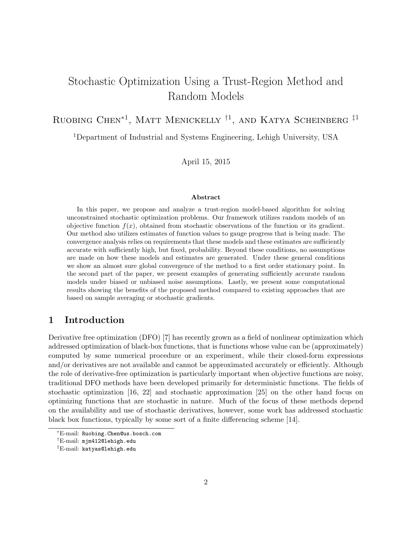# Stochastic Optimization Using a Trust-Region Method and Random Models

RUOBING CHEN<sup>\*1</sup>, MATT MENICKELLY <sup>†1</sup>, AND KATYA SCHEINBERG <sup>‡1</sup>

<sup>1</sup>Department of Industrial and Systems Engineering, Lehigh University, USA

April 15, 2015

#### Abstract

In this paper, we propose and analyze a trust-region model-based algorithm for solving unconstrained stochastic optimization problems. Our framework utilizes random models of an objective function  $f(x)$ , obtained from stochastic observations of the function or its gradient. Our method also utilizes estimates of function values to gauge progress that is being made. The convergence analysis relies on requirements that these models and these estimates are sufficiently accurate with sufficiently high, but fixed, probability. Beyond these conditions, no assumptions are made on how these models and estimates are generated. Under these general conditions we show an almost sure global convergence of the method to a first order stationary point. In the second part of the paper, we present examples of generating sufficiently accurate random models under biased or unbiased noise assumptions. Lastly, we present some computational results showing the benefits of the proposed method compared to existing approaches that are based on sample averaging or stochastic gradients.

# 1 Introduction

Derivative free optimization (DFO) [7] has recently grown as a field of nonlinear optimization which addressed optimization of black-box functions, that is functions whose value can be (approximately) computed by some numerical procedure or an experiment, while their closed-form expressions and/or derivatives are not available and cannot be approximated accurately or efficiently. Although the role of derivative-free optimization is particularly important when objective functions are noisy, traditional DFO methods have been developed primarily for deterministic functions. The fields of stochastic optimization [16, 22] and stochastic approximation [25] on the other hand focus on optimizing functions that are stochastic in nature. Much of the focus of these methods depend on the availability and use of stochastic derivatives, however, some work has addressed stochastic black box functions, typically by some sort of a finite differencing scheme [14].

<sup>∗</sup>E-mail: Ruobing.Chen@us.bosch.com

<sup>†</sup>E-mail: mjm412@lehigh.edu

<sup>‡</sup>E-mail: katyas@lehigh.edu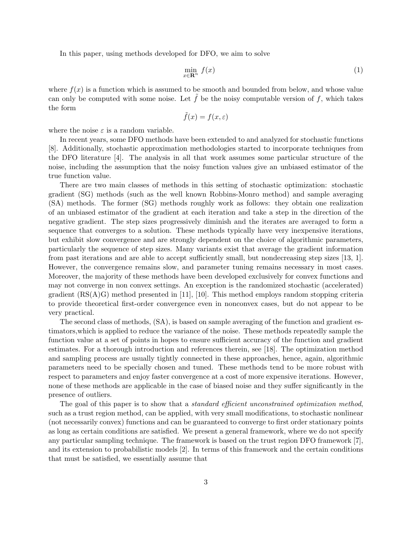In this paper, using methods developed for DFO, we aim to solve

$$
\min_{x \in \mathbf{R}^n} f(x) \tag{1}
$$

where  $f(x)$  is a function which is assumed to be smooth and bounded from below, and whose value can only be computed with some noise. Let  $f$  be the noisy computable version of  $f$ , which takes the form

$$
\tilde{f}(x) = f(x, \varepsilon)
$$

where the noise  $\varepsilon$  is a random variable.

In recent years, some DFO methods have been extended to and analyzed for stochastic functions [8]. Additionally, stochastic approximation methodologies started to incorporate techniques from the DFO literature [4]. The analysis in all that work assumes some particular structure of the noise, including the assumption that the noisy function values give an unbiased estimator of the true function value.

There are two main classes of methods in this setting of stochastic optimization: stochastic gradient (SG) methods (such as the well known Robbins-Monro method) and sample averaging (SA) methods. The former (SG) methods roughly work as follows: they obtain one realization of an unbiased estimator of the gradient at each iteration and take a step in the direction of the negative gradient. The step sizes progressively diminish and the iterates are averaged to form a sequence that converges to a solution. These methods typically have very inexpensive iterations, but exhibit slow convergence and are strongly dependent on the choice of algorithmic parameters, particularly the sequence of step sizes. Many variants exist that average the gradient information from past iterations and are able to accept sufficiently small, but nondecreasing step sizes [13, 1]. However, the convergence remains slow, and parameter tuning remains necessary in most cases. Moreover, the majority of these methods have been developed exclusively for convex functions and may not converge in non convex settings. An exception is the randomized stochastic (accelerated) gradient  $(RS(A)G)$  method presented in [11], [10]. This method employs random stopping criteria to provide theoretical first-order convergence even in nonconvex cases, but do not appear to be very practical.

The second class of methods, (SA), is based on sample averaging of the function and gradient estimators,which is applied to reduce the variance of the noise. These methods repeatedly sample the function value at a set of points in hopes to ensure sufficient accuracy of the function and gradient estimates. For a thorough introduction and references therein, see [18]. The optimization method and sampling process are usually tightly connected in these approaches, hence, again, algorithmic parameters need to be specially chosen and tuned. These methods tend to be more robust with respect to parameters and enjoy faster convergence at a cost of more expensive iterations. However, none of these methods are applicable in the case of biased noise and they suffer significantly in the presence of outliers.

The goal of this paper is to show that a *standard efficient unconstrained optimization method*, such as a trust region method, can be applied, with very small modifications, to stochastic nonlinear (not necessarily convex) functions and can be guaranteed to converge to first order stationary points as long as certain conditions are satisfied. We present a general framework, where we do not specify any particular sampling technique. The framework is based on the trust region DFO framework [7], and its extension to probabilistic models [2]. In terms of this framework and the certain conditions that must be satisfied, we essentially assume that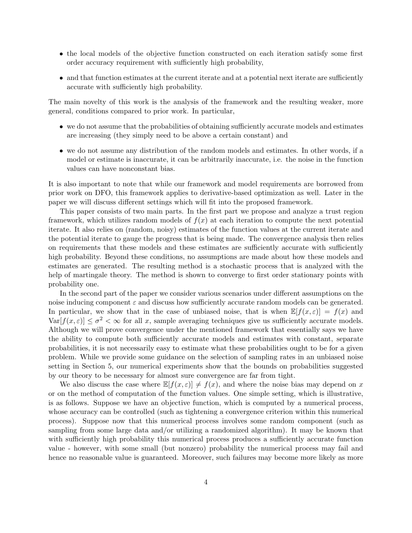- the local models of the objective function constructed on each iteration satisfy some first order accuracy requirement with sufficiently high probability,
- and that function estimates at the current iterate and at a potential next iterate are sufficiently accurate with sufficiently high probability.

The main novelty of this work is the analysis of the framework and the resulting weaker, more general, conditions compared to prior work. In particular,

- we do not assume that the probabilities of obtaining sufficiently accurate models and estimates are increasing (they simply need to be above a certain constant) and
- we do not assume any distribution of the random models and estimates. In other words, if a model or estimate is inaccurate, it can be arbitrarily inaccurate, i.e. the noise in the function values can have nonconstant bias.

It is also important to note that while our framework and model requirements are borrowed from prior work on DFO, this framework applies to derivative-based optimization as well. Later in the paper we will discuss different settings which will fit into the proposed framework.

This paper consists of two main parts. In the first part we propose and analyze a trust region framework, which utilizes random models of  $f(x)$  at each iteration to compute the next potential iterate. It also relies on (random, noisy) estimates of the function values at the current iterate and the potential iterate to gauge the progress that is being made. The convergence analysis then relies on requirements that these models and these estimates are sufficiently accurate with sufficiently high probability. Beyond these conditions, no assumptions are made about how these models and estimates are generated. The resulting method is a stochastic process that is analyzed with the help of martingale theory. The method is shown to converge to first order stationary points with probability one.

In the second part of the paper we consider various scenarios under different assumptions on the noise inducing component  $\varepsilon$  and discuss how sufficiently accurate random models can be generated. In particular, we show that in the case of unbiased noise, that is when  $\mathbb{E}[f(x,\varepsilon)] = f(x)$  and  $\text{Var}[f(x,\varepsilon)] \leq \sigma^2 < \infty$  for all x, sample averaging techniques give us sufficiently accurate models. Although we will prove convergence under the mentioned framework that essentially says we have the ability to compute both sufficiently accurate models and estimates with constant, separate probabilities, it is not necessarily easy to estimate what these probabilities ought to be for a given problem. While we provide some guidance on the selection of sampling rates in an unbiased noise setting in Section 5, our numerical experiments show that the bounds on probabilities suggested by our theory to be necessary for almost sure convergence are far from tight.

We also discuss the case where  $\mathbb{E}[f(x,\varepsilon)] \neq f(x)$ , and where the noise bias may depend on x or on the method of computation of the function values. One simple setting, which is illustrative, is as follows. Suppose we have an objective function, which is computed by a numerical process, whose accuracy can be controlled (such as tightening a convergence criterion within this numerical process). Suppose now that this numerical process involves some random component (such as sampling from some large data and/or utilizing a randomized algorithm). It may be known that with sufficiently high probability this numerical process produces a sufficiently accurate function value - however, with some small (but nonzero) probability the numerical process may fail and hence no reasonable value is guaranteed. Moreover, such failures may become more likely as more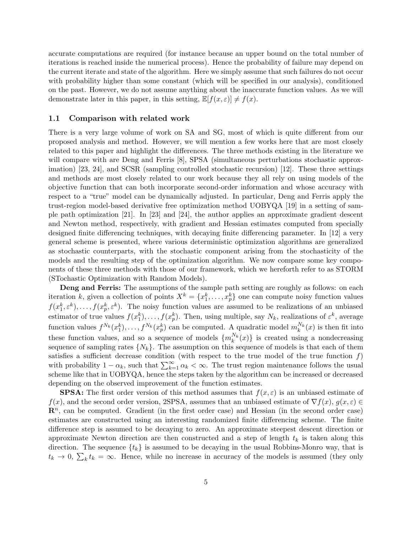accurate computations are required (for instance because an upper bound on the total number of iterations is reached inside the numerical process). Hence the probability of failure may depend on the current iterate and state of the algorithm. Here we simply assume that such failures do not occur with probability higher than some constant (which will be specified in our analysis), conditioned on the past. However, we do not assume anything about the inaccurate function values. As we will demonstrate later in this paper, in this setting,  $\mathbb{E}[f(x,\varepsilon)] \neq f(x)$ .

#### 1.1 Comparison with related work

There is a very large volume of work on SA and SG, most of which is quite different from our proposed analysis and method. However, we will mention a few works here that are most closely related to this paper and highlight the differences. The three methods existing in the literature we will compare with are Deng and Ferris [8], SPSA (simultaneous perturbations stochastic approximation) [23, 24], and SCSR (sampling controlled stochastic recursion) [12]. These three settings and methods are most closely related to our work because they all rely on using models of the objective function that can both incorporate second-order information and whose accuracy with respect to a "true" model can be dynamically adjusted. In particular, Deng and Ferris apply the trust-region model-based derivative free optimization method UOBYQA [19] in a setting of sample path optimization [21]. In [23] and [24], the author applies an approximate gradient descent and Newton method, respectively, with gradient and Hessian estimates computed from specially designed finite differencing techniques, with decaying finite differencing parameter. In [12] a very general scheme is presented, where various deterministic optimization algorithms are generalized as stochastic counterparts, with the stochastic component arising from the stochasticity of the models and the resulting step of the optimization algorithm. We now compare some key components of these three methods with those of our framework, which we hereforth refer to as STORM (STochastic Optimization with Random Models).

Deng and Ferris: The assumptions of the sample path setting are roughly as follows: on each iteration k, given a collection of points  $X^k = \{x_1^k, \ldots, x_p^k\}$  one can compute noisy function values  $f(x_1^k, \varepsilon^k), \ldots, f(x_p^k, \varepsilon^k)$ . The noisy function values are assumed to be realizations of an unbiased estimator of true values  $f(x_1^k), \ldots, f(x_p^k)$ . Then, using multiple, say  $N_k$ , realizations of  $\varepsilon^k$ , average function values  $f^{N_k}(x_1^k), \ldots, f^{N_k}(x_p^k)$  can be computed. A quadratic model  $m_k^{N_k}(x)$  is then fit into these function values, and so a sequence of models  $\{m_k^{N_k}(x)\}\$ is created using a nondecreasing sequence of sampling rates  $\{N_k\}$ . The assumption on this sequence of models is that each of them satisfies a sufficient decrease condition (with respect to the true model of the true function  $f$ ) with probability  $1 - \alpha_k$ , such that  $\sum_{k=1}^{\infty} \alpha_k < \infty$ . The trust region maintenance follows the usual scheme like that in UOBYQA, hence the steps taken by the algorithm can be increased or decreased depending on the observed improvement of the function estimates.

**SPSA:** The first order version of this method assumes that  $f(x, \varepsilon)$  is an unbiased estimate of  $f(x)$ , and the second order version, 2SPSA, assumes that an unbiased estimate of  $\nabla f(x)$ ,  $g(x, \varepsilon) \in$  $\mathbb{R}^n$ , can be computed. Gradient (in the first order case) and Hessian (in the second order case) estimates are constructed using an interesting randomized finite differencing scheme. The finite difference step is assumed to be decaying to zero. An approximate steepest descent direction or approximate Newton direction are then constructed and a step of length  $t_k$  is taken along this direction. The sequence  $\{t_k\}$  is assumed to be decaying in the usual Robbins-Monro way, that is  $t_k \to 0$ ,  $\sum_k t_k = \infty$ . Hence, while no increase in accuracy of the models is assumed (they only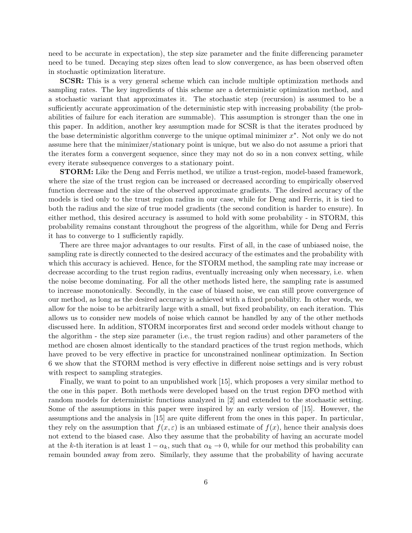need to be accurate in expectation), the step size parameter and the finite differencing parameter need to be tuned. Decaying step sizes often lead to slow convergence, as has been observed often in stochastic optimization literature.

SCSR: This is a very general scheme which can include multiple optimization methods and sampling rates. The key ingredients of this scheme are a deterministic optimization method, and a stochastic variant that approximates it. The stochastic step (recursion) is assumed to be a sufficiently accurate approximation of the deterministic step with increasing probability (the probabilities of failure for each iteration are summable). This assumption is stronger than the one in this paper. In addition, another key assumption made for SCSR is that the iterates produced by the base deterministic algorithm converge to the unique optimal minimizer  $x^*$ . Not only we do not assume here that the minimizer/stationary point is unique, but we also do not assume a priori that the iterates form a convergent sequence, since they may not do so in a non convex setting, while every iterate subsequence converges to a stationary point.

STORM: Like the Deng and Ferris method, we utilize a trust-region, model-based framework, where the size of the trust region can be increased or decreased according to empirically observed function decrease and the size of the observed approximate gradients. The desired accuracy of the models is tied only to the trust region radius in our case, while for Deng and Ferris, it is tied to both the radius and the size of true model gradients (the second condition is harder to ensure). In either method, this desired accuracy is assumed to hold with some probability - in STORM, this probability remains constant throughout the progress of the algorithm, while for Deng and Ferris it has to converge to 1 sufficiently rapidly.

There are three major advantages to our results. First of all, in the case of unbiased noise, the sampling rate is directly connected to the desired accuracy of the estimates and the probability with which this accuracy is achieved. Hence, for the STORM method, the sampling rate may increase or decrease according to the trust region radius, eventually increasing only when necessary, i.e. when the noise become dominating. For all the other methods listed here, the sampling rate is assumed to increase monotonically. Secondly, in the case of biased noise, we can still prove convergence of our method, as long as the desired accuracy is achieved with a fixed probability. In other words, we allow for the noise to be arbitrarily large with a small, but fixed probability, on each iteration. This allows us to consider new models of noise which cannot be handled by any of the other methods discussed here. In addition, STORM incorporates first and second order models without change to the algorithm - the step size parameter (i.e., the trust region radius) and other parameters of the method are chosen almost identically to the standard practices of the trust region methods, which have proved to be very effective in practice for unconstrained nonlinear optimization. In Section 6 we show that the STORM method is very effective in different noise settings and is very robust with respect to sampling strategies.

Finally, we want to point to an unpublished work [15], which proposes a very similar method to the one in this paper. Both methods were developed based on the trust region DFO method with random models for deterministic functions analyzed in [2] and extended to the stochastic setting. Some of the assumptions in this paper were inspired by an early version of [15]. However, the assumptions and the analysis in [15] are quite different from the ones in this paper. In particular, they rely on the assumption that  $f(x, \varepsilon)$  is an unbiased estimate of  $f(x)$ , hence their analysis does not extend to the biased case. Also they assume that the probability of having an accurate model at the k-th iteration is at least  $1 - \alpha_k$ , such that  $\alpha_k \to 0$ , while for our method this probability can remain bounded away from zero. Similarly, they assume that the probability of having accurate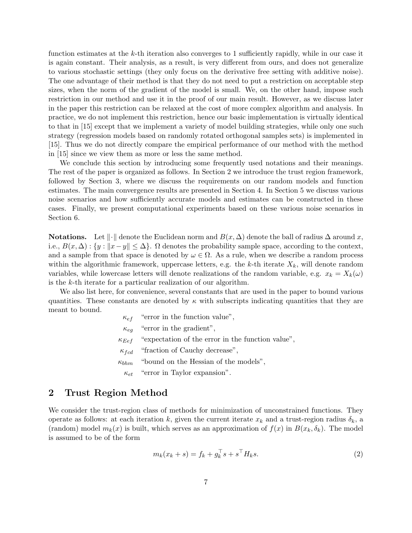function estimates at the k-th iteration also converges to 1 sufficiently rapidly, while in our case it is again constant. Their analysis, as a result, is very different from ours, and does not generalize to various stochastic settings (they only focus on the derivative free setting with additive noise). The one advantage of their method is that they do not need to put a restriction on acceptable step sizes, when the norm of the gradient of the model is small. We, on the other hand, impose such restriction in our method and use it in the proof of our main result. However, as we discuss later in the paper this restriction can be relaxed at the cost of more complex algorithm and analysis. In practice, we do not implement this restriction, hence our basic implementation is virtually identical to that in [15] except that we implement a variety of model building strategies, while only one such strategy (regression models based on randomly rotated orthogonal samples sets) is implemented in [15]. Thus we do not directly compare the empirical performance of our method with the method in [15] since we view them as more or less the same method.

We conclude this section by introducing some frequently used notations and their meanings. The rest of the paper is organized as follows. In Section 2 we introduce the trust region framework, followed by Section 3, where we discuss the requirements on our random models and function estimates. The main convergence results are presented in Section 4. In Section 5 we discuss various noise scenarios and how sufficiently accurate models and estimates can be constructed in these cases. Finally, we present computational experiments based on these various noise scenarios in Section 6.

Notations. Let  $\|\cdot\|$  denote the Euclidean norm and  $B(x, \Delta)$  denote the ball of radius  $\Delta$  around x, i.e.,  $B(x, \Delta): \{y : ||x-y|| \leq \Delta\}$ .  $\Omega$  denotes the probability sample space, according to the context, and a sample from that space is denoted by  $\omega \in \Omega$ . As a rule, when we describe a random process within the algorithmic framework, uppercase letters, e.g. the k-th iterate  $X_k$ , will denote random variables, while lowercase letters will denote realizations of the random variable, e.g.  $x_k = X_k(\omega)$ is the k-th iterate for a particular realization of our algorithm.

We also list here, for convenience, several constants that are used in the paper to bound various quantities. These constants are denoted by  $\kappa$  with subscripts indicating quantities that they are meant to bound.

> $\kappa_{ef}$  "error in the function value",  $\kappa_{eg}$  "error in the gradient",  $\kappa_{Eef}$  "expectation of the error in the function value",  $\kappa_{fcd}$  "fraction of Cauchy decrease",  $\kappa_{bhm}$  "bound on the Hessian of the models",  $\kappa_{et}$  "error in Taylor expansion".

# 2 Trust Region Method

We consider the trust-region class of methods for minimization of unconstrained functions. They operate as follows: at each iteration k, given the current iterate  $x_k$  and a trust-region radius  $\delta_k$ , a (random) model  $m_k(x)$  is built, which serves as an approximation of  $f(x)$  in  $B(x_k, \delta_k)$ . The model is assumed to be of the form

$$
m_k(x_k + s) = f_k + g_k^{\top} s + s^{\top} H_k s.
$$
 (2)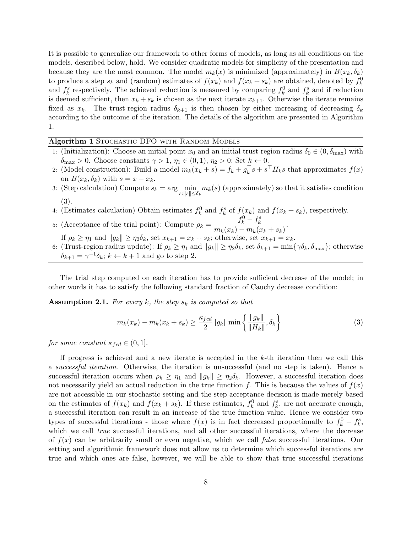It is possible to generalize our framework to other forms of models, as long as all conditions on the models, described below, hold. We consider quadratic models for simplicity of the presentation and because they are the most common. The model  $m_k(x)$  is minimized (approximately) in  $B(x_k, \delta_k)$ to produce a step  $s_k$  and (random) estimates of  $f(x_k)$  and  $f(x_k + s_k)$  are obtained, denoted by  $f_k^0$ and  $f_k^s$  respectively. The achieved reduction is measured by comparing  $f_k^0$  and  $f_k^s$  and if reduction is deemed sufficient, then  $x_k + s_k$  is chosen as the next iterate  $x_{k+1}$ . Otherwise the iterate remains fixed as  $x_k$ . The trust-region radius  $\delta_{k+1}$  is then chosen by either increasing of decreasing  $\delta_k$ according to the outcome of the iteration. The details of the algorithm are presented in Algorithm 1.

#### Algorithm 1 STOCHASTIC DFO WITH RANDOM MODELS

- 1: (Initialization): Choose an initial point  $x_0$  and an initial trust-region radius  $\delta_0 \in (0, \delta_{\max})$  with  $\delta_{\text{max}} > 0$ . Choose constants  $\gamma > 1$ ,  $\eta_1 \in (0, 1)$ ,  $\eta_2 > 0$ ; Set  $k \leftarrow 0$ .
- 2: (Model construction): Build a model  $m_k(x_k + s) = f_k + g_k^{\top} s + s^{\top} H_k s$  that approximates  $f(x)$ on  $B(x_k, \delta_k)$  with  $s = x - x_k$ .
- 3: (Step calculation) Compute  $s_k = \arg\min_{s:||s|| \leq \delta_k} m_k(s)$  (approximately) so that it satisfies condition (3).
- 4: (Estimates calculation) Obtain estimates  $f_k^0$  and  $f_k^s$  of  $f(x_k)$  and  $f(x_k + s_k)$ , respectively.
- 5: (Acceptance of the trial point): Compute  $\rho_k = \frac{f_k^0 f_k^s}{\sqrt{f_k^0 + f_k^s}}$  $\frac{J_k - J_k}{m_k(x_k) - m_k(x_k + s_k)}$ .
- If  $\rho_k \geq \eta_1$  and  $||g_k|| \geq \eta_2 \delta_k$ , set  $x_{k+1} = x_k + s_k$ ; otherwise, set  $x_{k+1} = x_k$ .
- 6: (Trust-region radius update): If  $\rho_k \geq \eta_1$  and  $||g_k|| \geq \eta_2 \delta_k$ , set  $\delta_{k+1} = \min\{\gamma \delta_k, \delta_{\max}\}\;$ ; otherwise  $\delta_{k+1} = \gamma^{-1} \delta_k$ ;  $k \leftarrow k+1$  and go to step 2.

The trial step computed on each iteration has to provide sufficient decrease of the model; in other words it has to satisfy the following standard fraction of Cauchy decrease condition:

**Assumption 2.1.** For every k, the step  $s_k$  is computed so that

$$
m_k(x_k) - m_k(x_k + s_k) \ge \frac{\kappa_{fcd}}{2} \|g_k\| \min\left\{ \frac{\|g_k\|}{\|H_k\|}, \delta_k \right\} \tag{3}
$$

for some constant  $\kappa_{fcd} \in (0,1]$ .

If progress is achieved and a new iterate is accepted in the  $k$ -th iteration then we call this a successful iteration. Otherwise, the iteration is unsuccessful (and no step is taken). Hence a successful iteration occurs when  $\rho_k \geq \eta_1$  and  $||g_k|| \geq \eta_2 \delta_k$ . However, a successful iteration does not necessarily yield an actual reduction in the true function f. This is because the values of  $f(x)$ are not accessible in our stochastic setting and the step acceptance decision is made merely based on the estimates of  $f(x_k)$  and  $f(x_k + s_k)$ . If these estimates,  $f_k^0$  and  $f_k^s$ , are not accurate enough, a successful iteration can result in an increase of the true function value. Hence we consider two types of successful iterations - those where  $f(x)$  is in fact decreased proportionally to  $f_k^0 - f_k^s$ , which we call *true* successful iterations, and all other successful iterations, where the decrease of  $f(x)$  can be arbitrarily small or even negative, which we call false successful iterations. Our setting and algorithmic framework does not allow us to determine which successful iterations are true and which ones are false, however, we will be able to show that true successful iterations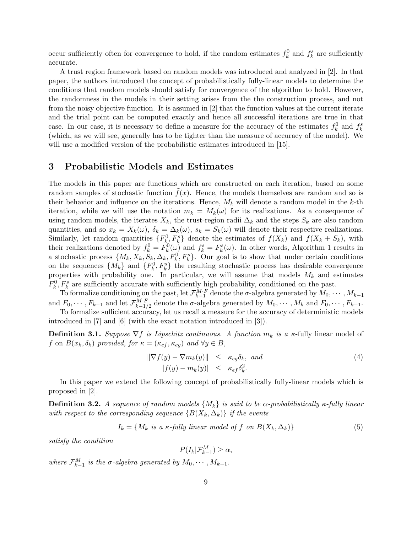occur sufficiently often for convergence to hold, if the random estimates  $f_k^0$  and  $f_k^s$  are sufficiently accurate.

A trust region framework based on random models was introduced and analyzed in [2]. In that paper, the authors introduced the concept of probabilistically fully-linear models to determine the conditions that random models should satisfy for convergence of the algorithm to hold. However, the randomness in the models in their setting arises from the the construction process, and not from the noisy objective function. It is assumed in [2] that the function values at the current iterate and the trial point can be computed exactly and hence all successful iterations are true in that case. In our case, it is necessary to define a measure for the accuracy of the estimates  $f_k^0$  and  $f_k^s$ (which, as we will see, generally has to be tighter than the measure of accuracy of the model). We will use a modified version of the probabilistic estimates introduced in [15].

# 3 Probabilistic Models and Estimates

The models in this paper are functions which are constructed on each iteration, based on some random samples of stochastic function  $f(x)$ . Hence, the models themselves are random and so is their behavior and influence on the iterations. Hence,  $M_k$  will denote a random model in the k-th iteration, while we will use the notation  $m_k = M_k(\omega)$  for its realizations. As a consequence of using random models, the iterates  $X_k$ , the trust-region radii  $\Delta_k$  and the steps  $S_k$  are also random quantities, and so  $x_k = X_k(\omega)$ ,  $\delta_k = \Delta_k(\omega)$ ,  $s_k = S_k(\omega)$  will denote their respective realizations. Similarly, let random quantities  $\{F_k^0, F_k^s\}$  denote the estimates of  $f(X_k)$  and  $f(X_k + S_k)$ , with their realizations denoted by  $f_k^0 = F_k^0(\omega)$  and  $f_k^s = F_k^s(\omega)$ . In other words, Algorithm 1 results in a stochastic process  $\{M_k, X_k, S_k, \Delta_k, F_k^0, F_k^s\}$ . Our goal is to show that under certain conditions on the sequences  $\{M_k\}$  and  $\{F_k^0, F_k^s\}$  the resulting stochastic process has desirable convergence properties with probability one. In particular, we will assume that models  $M_k$  and estimates  $F_k^0, F_k^s$  are sufficiently accurate with sufficiently high probability, conditioned on the past.

To formalize conditioning on the past, let  $\mathcal{F}_{k-1}^{M\cdot F}$  denote the  $\sigma$ -algebra generated by  $M_0,\cdots,M_{k-1}$ and  $F_0, \dots, F_{k-1}$  and let  $\mathcal{F}_{k-1/2}^{M \cdot F}$  denote the  $\sigma$ -algebra generated by  $M_0, \dots, M_k$  and  $F_0, \dots, F_{k-1}$ .

To formalize sufficient accuracy, let us recall a measure for the accuracy of deterministic models introduced in [7] and [6] (with the exact notation introduced in [3]).

**Definition 3.1.** Suppose  $\nabla f$  is Lipschitz continuous. A function  $m_k$  is a  $\kappa$ -fully linear model of f on  $B(x_k, \delta_k)$  provided, for  $\kappa = (\kappa_{ef}, \kappa_{eg})$  and  $\forall y \in B$ ,

$$
\|\nabla f(y) - \nabla m_k(y)\| \le \kappa_{eg} \delta_k, \text{ and}
$$
  

$$
|f(y) - m_k(y)| \le \kappa_{ef} \delta_k^2.
$$
 (4)

In this paper we extend the following concept of probabilistically fully-linear models which is proposed in [2].

**Definition 3.2.** A sequence of random models  $\{M_k\}$  is said to be  $\alpha$ -probabilistically  $\kappa$ -fully linear with respect to the corresponding sequence  ${B(X_k, \Delta_k)}$  if the events

$$
I_k = \{M_k \text{ is a } \kappa\text{-fully linear model of } f \text{ on } B(X_k, \Delta_k)\}\
$$
 (5)

satisfy the condition

$$
P(I_k|\mathcal{F}_{k-1}^M) \ge \alpha,
$$

where  $\mathcal{F}_{k-1}^M$  is the  $\sigma$ -algebra generated by  $M_0, \cdots, M_{k-1}$ .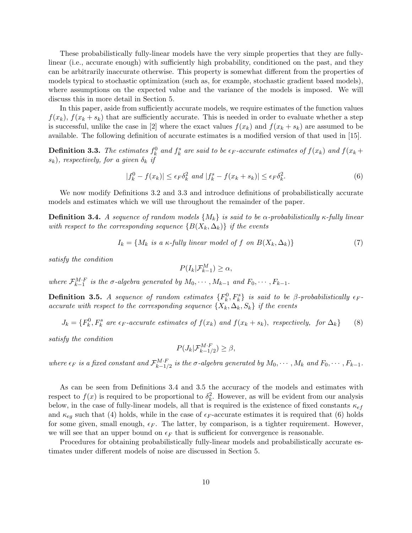These probabilistically fully-linear models have the very simple properties that they are fullylinear (i.e., accurate enough) with sufficiently high probability, conditioned on the past, and they can be arbitrarily inaccurate otherwise. This property is somewhat different from the properties of models typical to stochastic optimization (such as, for example, stochastic gradient based models), where assumptions on the expected value and the variance of the models is imposed. We will discuss this in more detail in Section 5.

In this paper, aside from sufficiently accurate models, we require estimates of the function values  $f(x_k)$ ,  $f(x_k + s_k)$  that are sufficiently accurate. This is needed in order to evaluate whether a step is successful, unlike the case in [2] where the exact values  $f(x_k)$  and  $f(x_k + s_k)$  are assumed to be available. The following definition of accurate estimates is a modified version of that used in [15].

**Definition 3.3.** The estimates  $f_k^0$  and  $f_k^s$  are said to be  $\epsilon_F$ -accurate estimates of  $f(x_k)$  and  $f(x_k +$  $s_k$ ), respectively, for a given  $\delta_k$  if

$$
|f_k^0 - f(x_k)| \le \epsilon_F \delta_k^2 \text{ and } |f_k^s - f(x_k + s_k)| \le \epsilon_F \delta_k^2. \tag{6}
$$

We now modify Definitions 3.2 and 3.3 and introduce definitions of probabilistically accurate models and estimates which we will use throughout the remainder of the paper.

**Definition 3.4.** A sequence of random models  $\{M_k\}$  is said to be  $\alpha$ -probabilistically  $\kappa$ -fully linear with respect to the corresponding sequence  ${B(X_k, \Delta_k)}$  if the events

$$
I_k = \{M_k \text{ is a } \kappa\text{-fully linear model of } f \text{ on } B(X_k, \Delta_k)\}\tag{7}
$$

satisfy the condition

$$
P(I_k|\mathcal{F}_{k-1}^M) \ge \alpha,
$$

where  $\mathcal{F}_{k-1}^{M \cdot F}$  is the  $\sigma$ -algebra generated by  $M_0, \cdots, M_{k-1}$  and  $F_0, \cdots, F_{k-1}$ .

**Definition 3.5.** A sequence of random estimates  ${F_k^0, F_k^s}$  is said to be  $\beta$ -probabilistically  $\epsilon_F$ accurate with respect to the corresponding sequence  $\{X_k, \Delta_k, S_k\}$  if the events

$$
J_k = \{F_k^0, F_k^s \text{ are } \epsilon_F\text{-accurate estimates of } f(x_k) \text{ and } f(x_k + s_k), \text{ respectively, for } \Delta_k\} \tag{8}
$$

satisfy the condition

$$
P(J_k|\mathcal{F}_{k-1/2}^{M\cdot F}) \geq \beta,
$$

where  $\epsilon_F$  is a fixed constant and  $\mathcal{F}_{k-1/2}^{\text{M} \cdot \text{F}}$  is the  $\sigma$ -algebra generated by  $M_0, \cdots, M_k$  and  $F_0, \cdots, F_{k-1}$ .

As can be seen from Definitions 3.4 and 3.5 the accuracy of the models and estimates with respect to  $f(x)$  is required to be proportional to  $\delta_k^2$ . However, as will be evident from our analysis below, in the case of fully-linear models, all that is required is the existence of fixed constants  $\kappa_{ef}$ and  $\kappa_{eg}$  such that (4) holds, while in the case of  $\epsilon_F$ -accurate estimates it is required that (6) holds for some given, small enough,  $\epsilon_F$ . The latter, by comparison, is a tighter requirement. However, we will see that an upper bound on  $\epsilon_F$  that is sufficient for convergence is reasonable.

Procedures for obtaining probabilistically fully-linear models and probabilistically accurate estimates under different models of noise are discussed in Section 5.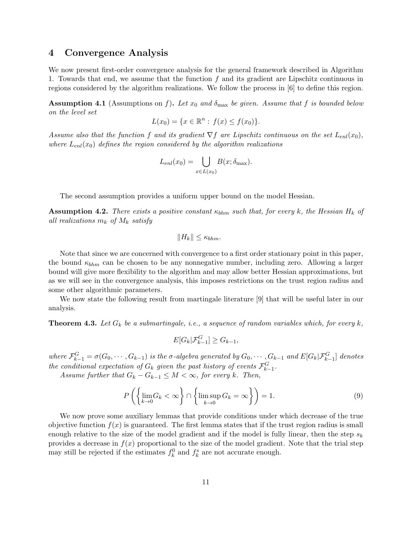### 4 Convergence Analysis

We now present first-order convergence analysis for the general framework described in Algorithm 1. Towards that end, we assume that the function f and its gradient are Lipschitz continuous in regions considered by the algorithm realizations. We follow the process in [6] to define this region.

**Assumption 4.1** (Assumptions on f). Let  $x_0$  and  $\delta_{\text{max}}$  be given. Assume that f is bounded below on the level set

$$
L(x_0) = \{x \in \mathbb{R}^n : f(x) \le f(x_0)\}.
$$

Assume also that the function f and its gradient  $\nabla f$  are Lipschitz continuous on the set  $L_{en}(x_0)$ , where  $L_{enl}(x_0)$  defines the region considered by the algorithm realizations

$$
L_{enl}(x_0) = \bigcup_{x \in L(x_0)} B(x; \delta_{\max}).
$$

The second assumption provides a uniform upper bound on the model Hessian.

**Assumption 4.2.** There exists a positive constant  $\kappa_{bbm}$  such that, for every k, the Hessian  $H_k$  of all realizations  $m_k$  of  $M_k$  satisfy

$$
||H_k|| \leq \kappa_{bhm}.
$$

Note that since we are concerned with convergence to a first order stationary point in this paper, the bound  $\kappa_{bhm}$  can be chosen to be any nonnegative number, including zero. Allowing a larger bound will give more flexibility to the algorithm and may allow better Hessian approximations, but as we will see in the convergence analysis, this imposes restrictions on the trust region radius and some other algorithmic parameters.

We now state the following result from martingale literature [9] that will be useful later in our analysis.

**Theorem 4.3.** Let  $G_k$  be a submartingale, i.e., a sequence of random variables which, for every  $k$ ,

$$
E[G_k|\mathcal{F}_{k-1}^G] \ge G_{k-1},
$$

where  $\mathcal{F}^G_{k-1} = \sigma(G_0, \cdots, G_{k-1})$  is the  $\sigma$ -algebra generated by  $G_0, \cdots, G_{k-1}$  and  $E[G_k | \mathcal{F}^G_{k-1}]$  denotes the conditional expectation of  $G_k$  given the past history of events  $\mathcal{F}_{k-1}^G$ .

Assume further that  $G_k - G_{k-1} \leq M < \infty$ , for every k. Then,

$$
P\left(\left\{\lim_{k\to 0} G_k < \infty\right\} \cap \left\{\limsup_{k\to 0} G_k = \infty\right\}\right) = 1. \tag{9}
$$

We now prove some auxiliary lemmas that provide conditions under which decrease of the true objective function  $f(x)$  is guaranteed. The first lemma states that if the trust region radius is small enough relative to the size of the model gradient and if the model is fully linear, then the step  $s_k$ provides a decrease in  $f(x)$  proportional to the size of the model gradient. Note that the trial step may still be rejected if the estimates  $f_k^0$  and  $f_k^s$  are not accurate enough.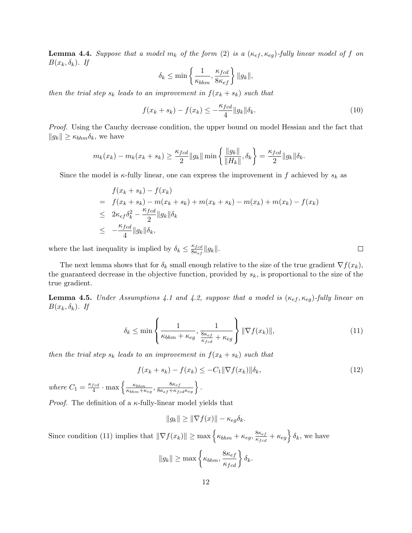**Lemma 4.4.** Suppose that a model  $m_k$  of the form (2) is a  $(\kappa_{ef}, \kappa_{eg})$ -fully linear model of f on  $B(x_k, \delta_k)$ . If

$$
\delta_k \le \min\left\{\frac{1}{\kappa_{bbm}}, \frac{\kappa_{fcd}}{8\kappa_{ef}}\right\} ||g_k||,
$$

then the trial step  $s_k$  leads to an improvement in  $f(x_k + s_k)$  such that

$$
f(x_k + s_k) - f(x_k) \le -\frac{\kappa_{fcd}}{4} \|g_k\| \delta_k.
$$
\n(10)

Proof. Using the Cauchy decrease condition, the upper bound on model Hessian and the fact that  $||g_k|| \geq \kappa_{bhm} \delta_k$ , we have

$$
m_k(x_k) - m_k(x_k + s_k) \ge \frac{\kappa_{fcd}}{2} \|g_k\| \min\left\{ \frac{\|g_k\|}{\|H_k\|}, \delta_k \right\} = \frac{\kappa_{fcd}}{2} \|g_k\| \delta_k.
$$

Since the model is  $\kappa$ -fully linear, one can express the improvement in f achieved by  $s_k$  as

$$
f(x_k + s_k) - f(x_k)
$$
  
=  $f(x_k + s_k) - m(x_k + s_k) + m(x_k + s_k) - m(x_k) + m(x_k) - f(x_k)$   

$$
\leq 2\kappa_{ef}\delta_k^2 - \frac{\kappa_{fcd}}{2}||g_k||\delta_k
$$
  

$$
\leq -\frac{\kappa_{fcd}}{4}||g_k||\delta_k,
$$

where the last inequality is implied by  $\delta_k \leq \frac{\kappa_{fed}}{8\kappa_{ed}}$  $\frac{\kappa_{fcd}}{8\kappa_{ef}}\|g_k\|.$ 

The next lemma shows that for  $\delta_k$  small enough relative to the size of the true gradient  $\nabla f(x_k)$ , the guaranteed decrease in the objective function, provided by  $s_k$ , is proportional to the size of the true gradient.

**Lemma 4.5.** Under Assumptions 4.1 and 4.2, suppose that a model is  $(\kappa_{ef}, \kappa_{eg})$ -fully linear on  $B(x_k, \delta_k)$ . If

$$
\delta_k \le \min\left\{\frac{1}{\kappa_{bhm} + \kappa_{eg}}, \frac{1}{\frac{8\kappa_{ef}}{\kappa_{fed}} + \kappa_{eg}}\right\} \|\nabla f(x_k)\|,\tag{11}
$$

then the trial step  $s_k$  leads to an improvement in  $f(x_k + s_k)$  such that

$$
f(x_k + s_k) - f(x_k) \le -C_1 \|\nabla f(x_k)\| \delta_k,
$$
\n(12)

where  $C_1 = \frac{\kappa_{fcd}}{4}$  $\frac{fcd}{4} \cdot \max\left\{\frac{\kappa_{bhm}}{\kappa_{bhm}+\kappa}\right\}$  $\frac{\kappa_{bhm}}{\kappa_{bhm}+\kappa_{eg}}, \frac{8\kappa_{ef}}{8\kappa_{ef}+\kappa_{fcd}\kappa_{eg}}\bigg\}\,.$ 

*Proof.* The definition of a  $\kappa$ -fully-linear model yields that

$$
||g_k|| \ge ||\nabla f(x)|| - \kappa_{eg} \delta_k.
$$

Since condition (11) implies that  $\|\nabla f(x_k)\| \geq \max \left\{ \kappa_{bhm} + \kappa_{eg}, \frac{8\kappa_{ef}}{6\kappa_{ed}} \right\}$  $\frac{8\kappa_{ef}}{\kappa_{fed}} + \kappa_{eg} \,\, \right\} \delta_k$ , we have

$$
||g_k|| \ge \max\left\{\kappa_{bhm}, \frac{8\kappa_{ef}}{\kappa_{fcd}}\right\}\delta_k.
$$

 $\Box$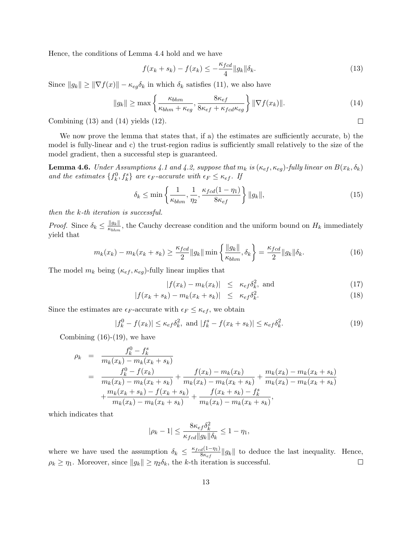Hence, the conditions of Lemma 4.4 hold and we have

$$
f(x_k + s_k) - f(x_k) \le -\frac{\kappa_{fcd}}{4} \|g_k\| \delta_k.
$$
\n(13)

 $\Box$ 

Since  $||g_k|| \ge ||\nabla f(x)|| - \kappa_{eg} \delta_k$  in which  $\delta_k$  satisfies (11), we also have

$$
||g_k|| \ge \max\left\{\frac{\kappa_{bhm}}{\kappa_{bhm} + \kappa_{eg}}, \frac{8\kappa_{ef}}{8\kappa_{ef} + \kappa_{fcd}\kappa_{eg}}\right\} ||\nabla f(x_k)||. \tag{14}
$$

Combining  $(13)$  and  $(14)$  yields  $(12)$ .

We now prove the lemma that states that, if a) the estimates are sufficiently accurate, b) the model is fully-linear and c) the trust-region radius is sufficiently small relatively to the size of the model gradient, then a successful step is guaranteed.

**Lemma 4.6.** Under Assumptions 4.1 and 4.2, suppose that  $m_k$  is  $(\kappa_{ef}, \kappa_{eq})$ -fully linear on  $B(x_k, \delta_k)$ and the estimates  $\{f_k^0, f_k^s\}$  are  $\epsilon_F$ -accurate with  $\epsilon_F \leq \kappa_{ef}$ . If

$$
\delta_k \le \min\left\{\frac{1}{\kappa_{bbm}}, \frac{1}{\eta_2}, \frac{\kappa_{fcd}(1-\eta_1)}{8\kappa_{ef}}\right\} ||g_k||, \tag{15}
$$

then the k-th iteration is successful.

*Proof.* Since  $\delta_k \leq \frac{\|g_k\|}{\kappa_{\text{bb}}^2}$  $\frac{\|g_k\|}{\kappa_{bbm}}$ , the Cauchy decrease condition and the uniform bound on  $H_k$  immediately yield that

$$
m_k(x_k) - m_k(x_k + s_k) \ge \frac{\kappa_{fcd}}{2} \|g_k\| \min\left\{\frac{\|g_k\|}{\kappa_{bhm}}, \delta_k\right\} = \frac{\kappa_{fcd}}{2} \|g_k\| \delta_k. \tag{16}
$$

The model  $m_k$  being  $(\kappa_{ef}, \kappa_{eg})$ -fully linear implies that

$$
|f(x_k) - m_k(x_k)| \le \kappa_{\text{ef}} \delta_k^2, \text{ and } (17)
$$

$$
|f(x_k + s_k) - m_k(x_k + s_k)| \le \kappa_{\epsilon} f \delta_k^2. \tag{18}
$$

Since the estimates are  $\epsilon_F$ -accurate with  $\epsilon_F \leq \kappa_{ef}$ , we obtain

$$
|f_k^0 - f(x_k)| \le \kappa_{ef} \delta_k^2, \text{ and } |f_k^s - f(x_k + s_k)| \le \kappa_{ef} \delta_k^2. \tag{19}
$$

Combining  $(16)-(19)$ , we have

$$
\rho_k = \frac{f_k^0 - f_k^s}{m_k(x_k) - m_k(x_k + s_k)}
$$
\n
$$
= \frac{f_k^0 - f(x_k)}{m_k(x_k) - m_k(x_k + s_k)} + \frac{f(x_k) - m_k(x_k)}{m_k(x_k) - m_k(x_k + s_k)} + \frac{m_k(x_k) - m_k(x_k + s_k)}{m_k(x_k) - m_k(x_k + s_k)}
$$
\n
$$
+ \frac{m_k(x_k + s_k) - f(x_k + s_k)}{m_k(x_k) - m_k(x_k + s_k)} + \frac{f(x_k + s_k) - f_k^s}{m_k(x_k) - m_k(x_k + s_k)},
$$

which indicates that

$$
|\rho_k - 1| \le \frac{8\kappa_{ef} \delta_k^2}{\kappa_{fcd} ||g_k|| \delta_k} \le 1 - \eta_1,
$$

where we have used the assumption  $\delta_k \leq \frac{\kappa_{fcd}(1-\eta_1)}{8\kappa_{fcd}}$  $\frac{d(1-\eta_1)}{8\kappa_{ef}}$  || to deduce the last inequality. Hence,  $\rho_k \geq \eta_1$ . Moreover, since  $||g_k|| \geq \eta_2 \delta_k$ , the k-th iteration is successful.  $\Box$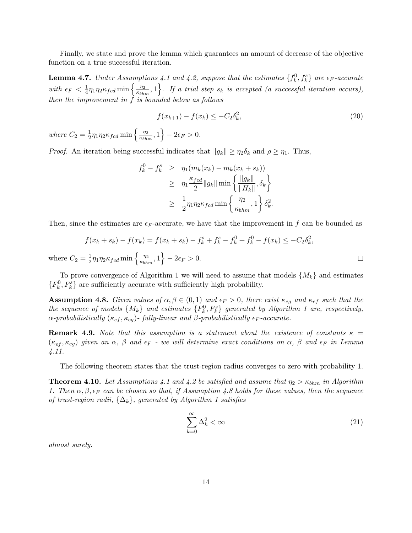Finally, we state and prove the lemma which guarantees an amount of decrease of the objective function on a true successful iteration.

**Lemma 4.7.** Under Assumptions 4.1 and 4.2, suppose that the estimates  $\{f_k^0, f_k^s\}$  are  $\epsilon_F$ -accurate with  $\epsilon_F < \frac{1}{4}$  $\frac{1}{4} \eta_1 \eta_2 \kappa_{fcd} \min\left\{ \frac{\eta_2}{\kappa_{bh}} \right\}$  $\left\{\frac{\eta_2}{\kappa_{bbm}},1\right\}$ . If a trial step  $s_k$  is accepted (a successful iteration occurs), then the improvement in  $\ddot{f}$  is bounded below as follows

$$
f(x_{k+1}) - f(x_k) \le -C_2 \delta_k^2,\tag{20}
$$

where  $C_2 = \frac{1}{2}$  $\frac{1}{2}\eta_1\eta_2\kappa_{fcd}$  min  $\left\{\frac{\eta_2}{\kappa_{bh}}\right\}$  $\left\{\fraceta_2}{\kappa_{bhm}},1\right\}-2\epsilon_F>0.$ 

*Proof.* An iteration being successful indicates that  $||g_k|| \geq \eta_2 \delta_k$  and  $\rho \geq \eta_1$ . Thus,

$$
f_k^0 - f_k^s \geq \eta_1(m_k(x_k) - m_k(x_k + s_k))
$$
  
\n
$$
\geq \eta_1 \frac{\kappa_{fcd}}{2} \|g_k\| \min \left\{ \frac{\|g_k\|}{\|H_k\|}, \delta_k \right\}
$$
  
\n
$$
\geq \frac{1}{2} \eta_1 \eta_2 \kappa_{fcd} \min \left\{ \frac{\eta_2}{\kappa_{bhm}}, 1 \right\} \delta_k^2.
$$

Then, since the estimates are  $\epsilon_F$ -accurate, we have that the improvement in f can be bounded as

$$
f(x_k + s_k) - f(x_k) = f(x_k + s_k) - f_k^s + f_k^s - f_k^0 + f_k^0 - f(x_k) \le -C_2 \delta_k^2,
$$
  

$$
C_2 = \frac{1}{2} \eta_1 \eta_2 \kappa_{fcd} \min \left\{ \frac{\eta_2}{\kappa_{hkm}}, 1 \right\} - 2\epsilon_F > 0.
$$

where  $\mathcal C$  $\overline{2}$  $\frac{\eta_2}{\kappa_{bhm}}, 1$  $-2\epsilon_F > 0.$ 

To prove convergence of Algorithm 1 we will need to assume that models  $\{M_k\}$  and estimates  $\{F_k^0,F_k^s\}$  are sufficiently accurate with sufficiently high probability.

**Assumption 4.8.** Given values of  $\alpha, \beta \in (0, 1)$  and  $\epsilon_F > 0$ , there exist  $\kappa_{eg}$  and  $\kappa_{ef}$  such that the the sequence of models  $\{M_k\}$  and estimates  $\{F_k^0, F_k^s\}$  generated by Algorithm 1 are, respectively,  $\alpha$ -probabilistically ( $\kappa_{ef}, \kappa_{eg}$ )- fully-linear and β-probabilistically  $\epsilon_F$ -accurate.

**Remark 4.9.** Note that this assumption is a statement about the existence of constants  $\kappa$  =  $(\kappa_{ef}, \kappa_{eg})$  given an  $\alpha$ ,  $\beta$  and  $\epsilon_F$  - we will determine exact conditions on  $\alpha$ ,  $\beta$  and  $\epsilon_F$  in Lemma 4.11.

The following theorem states that the trust-region radius converges to zero with probability 1.

**Theorem 4.10.** Let Assumptions 4.1 and 4.2 be satisfied and assume that  $\eta_2 > \kappa_{bhm}$  in Algorithm 1. Then  $\alpha, \beta, \epsilon_F$  can be chosen so that, if Assumption 4.8 holds for these values, then the sequence of trust-region radii,  $\{\Delta_k\}$ , generated by Algorithm 1 satisfies

$$
\sum_{k=0}^{\infty} \Delta_k^2 < \infty \tag{21}
$$

almost surely.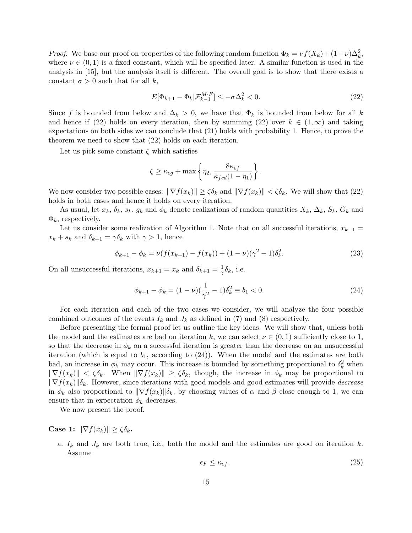*Proof.* We base our proof on properties of the following random function  $\Phi_k = \nu f(X_k) + (1 - \nu)\Delta_k^2$ , where  $\nu \in (0,1)$  is a fixed constant, which will be specified later. A similar function is used in the analysis in [15], but the analysis itself is different. The overall goal is to show that there exists a constant  $\sigma > 0$  such that for all k,

$$
E[\Phi_{k+1} - \Phi_k | \mathcal{F}_{k-1}^{M \cdot F}] \le -\sigma \Delta_k^2 < 0. \tag{22}
$$

Since f is bounded from below and  $\Delta_k > 0$ , we have that  $\Phi_k$  is bounded from below for all k and hence if (22) holds on every iteration, then by summing (22) over  $k \in (1,\infty)$  and taking expectations on both sides we can conclude that (21) holds with probability 1. Hence, to prove the theorem we need to show that (22) holds on each iteration.

Let us pick some constant  $\zeta$  which satisfies

$$
\zeta \ge \kappa_{eg} + \max\left\{\eta_2, \frac{8\kappa_{ef}}{\kappa_{fcd}(1-\eta_1)}\right\}.
$$

We now consider two possible cases:  $\|\nabla f(x_k)\| \geq \zeta \delta_k$  and  $\|\nabla f(x_k)\| < \zeta \delta_k$ . We will show that (22) holds in both cases and hence it holds on every iteration.

As usual, let  $x_k$ ,  $\delta_k$ ,  $s_k$ ,  $g_k$  and  $\phi_k$  denote realizations of random quantities  $X_k$ ,  $\Delta_k$ ,  $S_k$ ,  $G_k$  and  $\Phi_k$ , respectively.

Let us consider some realization of Algorithm 1. Note that on all successful iterations,  $x_{k+1} =$  $x_k + s_k$  and  $\delta_{k+1} = \gamma \delta_k$  with  $\gamma > 1$ , hence

$$
\phi_{k+1} - \phi_k = \nu(f(x_{k+1}) - f(x_k)) + (1 - \nu)(\gamma^2 - 1)\delta_k^2.
$$
\n(23)

On all unsuccessful iterations,  $x_{k+1} = x_k$  and  $\delta_{k+1} = \frac{1}{\gamma}$  $\frac{1}{\gamma}\delta_k$ , i.e.

$$
\phi_{k+1} - \phi_k = (1 - \nu)\left(\frac{1}{\gamma^2} - 1\right)\delta_k^2 \equiv b_1 < 0. \tag{24}
$$

For each iteration and each of the two cases we consider, we will analyze the four possible combined outcomes of the events  $I_k$  and  $J_k$  as defined in (7) and (8) respectively.

Before presenting the formal proof let us outline the key ideas. We will show that, unless both the model and the estimates are bad on iteration k, we can select  $\nu \in (0,1)$  sufficiently close to 1, so that the decrease in  $\phi_k$  on a successful iteration is greater than the decrease on an unsuccessful iteration (which is equal to  $b_1$ , according to (24)). When the model and the estimates are both bad, an increase in  $\phi_k$  may occur. This increase is bounded by something proportional to  $\delta_k^2$  when  $\|\nabla f(x_k)\| < \zeta \delta_k$ . When  $\|\nabla f(x_k)\| \geq \zeta \delta_k$ , though, the increase in  $\phi_k$  may be proportional to  $\|\nabla f(x_k)\|_{\delta_k}$ . However, since iterations with good models and good estimates will provide *decrease* in  $\phi_k$  also proportional to  $\|\nabla f(x_k)\|\delta_k$ , by choosing values of  $\alpha$  and  $\beta$  close enough to 1, we can ensure that in expectation  $\phi_k$  decreases.

We now present the proof.

**Case 1:**  $\|\nabla f(x_k)\| \geq \zeta \delta_k$ .

a.  $I_k$  and  $J_k$  are both true, i.e., both the model and the estimates are good on iteration k. Assume

$$
\epsilon_F \le \kappa_{ef}.\tag{25}
$$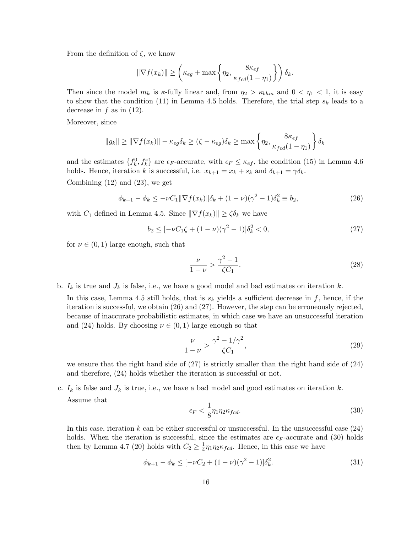From the definition of  $\zeta$ , we know

$$
\|\nabla f(x_k)\| \ge \left(\kappa_{eg} + \max\left\{\eta_2, \frac{8\kappa_{ef}}{\kappa_{fcd}(1-\eta_1)}\right\}\right)\delta_k.
$$

Then since the model  $m_k$  is  $\kappa$ -fully linear and, from  $\eta_2 > \kappa_{bhm}$  and  $0 < \eta_1 < 1$ , it is easy to show that the condition (11) in Lemma 4.5 holds. Therefore, the trial step  $s_k$  leads to a decrease in  $f$  as in  $(12)$ .

Moreover, since

$$
||g_k|| \ge ||\nabla f(x_k)|| - \kappa_{eg} \delta_k \ge (\zeta - \kappa_{eg})\delta_k \ge \max\left\{\eta_2, \frac{8\kappa_{ef}}{\kappa_{fcd}(1-\eta_1)}\right\}\delta_k
$$

and the estimates  $\{f_k^0, f_k^s\}$  are  $\epsilon_F$ -accurate, with  $\epsilon_F \leq \kappa_{ef}$ , the condition (15) in Lemma 4.6 holds. Hence, iteration k is successful, i.e.  $x_{k+1} = x_k + s_k$  and  $\delta_{k+1} = \gamma \delta_k$ .

Combining (12) and (23), we get

$$
\phi_{k+1} - \phi_k \le -\nu C_1 \|\nabla f(x_k)\| \delta_k + (1 - \nu)(\gamma^2 - 1)\delta_k^2 \equiv b_2,
$$
\n(26)

with  $C_1$  defined in Lemma 4.5. Since  $\|\nabla f(x_k)\| \geq \zeta \delta_k$  we have

$$
b_2 \leq [-\nu C_1 \zeta + (1 - \nu)(\gamma^2 - 1)] \delta_k^2 < 0,\tag{27}
$$

for  $\nu \in (0,1)$  large enough, such that

$$
\frac{\nu}{1-\nu} > \frac{\gamma^2 - 1}{\zeta C_1}.\tag{28}
$$

b.  $I_k$  is true and  $J_k$  is false, i.e., we have a good model and bad estimates on iteration k.

In this case, Lemma 4.5 still holds, that is  $s_k$  yields a sufficient decrease in f, hence, if the iteration is successful, we obtain (26) and (27). However, the step can be erroneously rejected, because of inaccurate probabilistic estimates, in which case we have an unsuccessful iteration and (24) holds. By choosing  $\nu \in (0,1)$  large enough so that

$$
\frac{\nu}{1-\nu} > \frac{\gamma^2 - 1/\gamma^2}{\zeta C_1},\tag{29}
$$

we ensure that the right hand side of  $(27)$  is strictly smaller than the right hand side of  $(24)$ and therefore, (24) holds whether the iteration is successful or not.

c.  $I_k$  is false and  $J_k$  is true, i.e., we have a bad model and good estimates on iteration k. Assume that

$$
\epsilon_F < \frac{1}{8} \eta_1 \eta_2 \kappa_{fcd}.\tag{30}
$$

In this case, iteration k can be either successful or unsuccessful. In the unsuccessful case  $(24)$ holds. When the iteration is successful, since the estimates are  $\epsilon_F$ -accurate and (30) holds then by Lemma 4.7 (20) holds with  $C_2 \geq \frac{1}{4}$  $\frac{1}{4}\eta_1\eta_2\kappa_{fcd}$ . Hence, in this case we have

$$
\phi_{k+1} - \phi_k \leq [-\nu C_2 + (1 - \nu)(\gamma^2 - 1)]\delta_k^2.
$$
\n(31)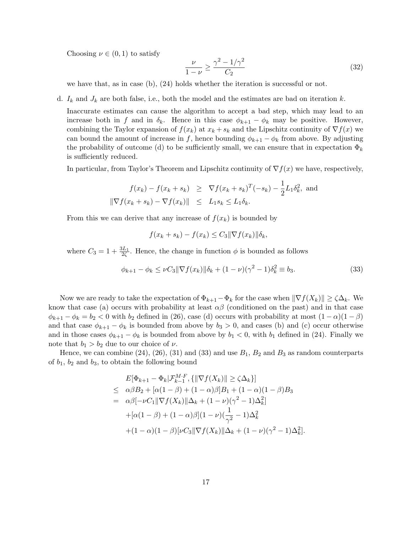Choosing  $\nu \in (0,1)$  to satisfy

$$
\frac{\nu}{1-\nu} \ge \frac{\gamma^2 - 1/\gamma^2}{C_2} \tag{32}
$$

we have that, as in case (b), (24) holds whether the iteration is successful or not.

#### d.  $I_k$  and  $J_k$  are both false, i.e., both the model and the estimates are bad on iteration k.

Inaccurate estimates can cause the algorithm to accept a bad step, which may lead to an increase both in f and in  $\delta_k$ . Hence in this case  $\phi_{k+1} - \phi_k$  may be positive. However, combining the Taylor expansion of  $f(x_k)$  at  $x_k + s_k$  and the Lipschitz continuity of  $\nabla f(x)$  we can bound the amount of increase in f, hence bounding  $\phi_{k+1} - \phi_k$  from above. By adjusting the probability of outcome (d) to be sufficiently small, we can ensure that in expectation  $\Phi_k$ is sufficiently reduced.

In particular, from Taylor's Theorem and Lipschitz continuity of  $\nabla f(x)$  we have, respectively,

$$
f(x_k) - f(x_k + s_k) \geq \nabla f(x_k + s_k)^T(-s_k) - \frac{1}{2}L_1\delta_k^2, \text{ and}
$$
  

$$
\|\nabla f(x_k + s_k) - \nabla f(x_k)\| \leq L_1s_k \leq L_1\delta_k.
$$

From this we can derive that any increase of  $f(x_k)$  is bounded by

$$
f(x_k + s_k) - f(x_k) \leq C_3 \|\nabla f(x_k)\| \delta_k,
$$

where  $C_3 = 1 + \frac{3L_1}{2\zeta}$ . Hence, the change in function  $\phi$  is bounded as follows

$$
\phi_{k+1} - \phi_k \le \nu C_3 \|\nabla f(x_k)\| \delta_k + (1 - \nu)(\gamma^2 - 1)\delta_k^2 \equiv b_3. \tag{33}
$$

Now we are ready to take the expectation of  $\Phi_{k+1}-\Phi_k$  for the case when  $\|\nabla f(X_k)\|\geq \zeta\Delta_k$ . We know that case (a) occurs with probability at least  $\alpha\beta$  (conditioned on the past) and in that case  $\phi_{k+1} - \phi_k = b_2 < 0$  with  $b_2$  defined in (26), case (d) occurs with probability at most  $(1 - \alpha)(1 - \beta)$ and that case  $\phi_{k+1} - \phi_k$  is bounded from above by  $b_3 > 0$ , and cases (b) and (c) occur otherwise and in those cases  $\phi_{k+1} - \phi_k$  is bounded from above by  $b_1 < 0$ , with  $b_1$  defined in (24). Finally we note that  $b_1 > b_2$  due to our choice of  $\nu$ .

Hence, we can combine  $(24)$ ,  $(26)$ ,  $(31)$  and  $(33)$  and use  $B_1$ ,  $B_2$  and  $B_3$  as random counterparts of  $b_1$ ,  $b_2$  and  $b_3$ , to obtain the following bound

$$
E[\Phi_{k+1} - \Phi_k | \mathcal{F}_{k-1}^{M \cdot F}, \{ ||\nabla f(X_k)|| \ge \zeta \Delta_k \}]
$$
  
\n
$$
\le \alpha \beta B_2 + [\alpha(1 - \beta) + (1 - \alpha)\beta]B_1 + (1 - \alpha)(1 - \beta)B_3
$$
  
\n
$$
= \alpha \beta [-\nu C_1 || \nabla f(X_k) || \Delta_k + (1 - \nu)(\gamma^2 - 1)\Delta_k^2]
$$
  
\n
$$
+ [\alpha(1 - \beta) + (1 - \alpha)\beta](1 - \nu)(\frac{1}{\gamma^2} - 1)\Delta_k^2
$$
  
\n
$$
+ (1 - \alpha)(1 - \beta)[\nu C_3 || \nabla f(X_k) || \Delta_k + (1 - \nu)(\gamma^2 - 1)\Delta_k^2].
$$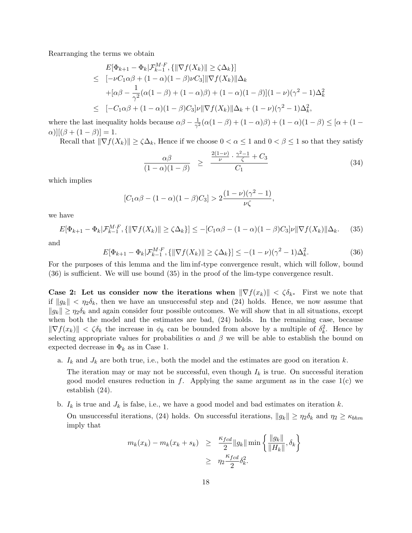Rearranging the terms we obtain

$$
E[\Phi_{k+1} - \Phi_k | \mathcal{F}_{k-1}^{M \cdot F}, \{ ||\nabla f(X_k)|| \ge \zeta \Delta_k \}]
$$
  
\n
$$
\leq [-\nu C_1 \alpha \beta + (1 - \alpha)(1 - \beta)\nu C_3] ||\nabla f(X_k)||\Delta_k
$$
  
\n
$$
+ [\alpha \beta - \frac{1}{\gamma^2} (\alpha(1 - \beta) + (1 - \alpha)\beta) + (1 - \alpha)(1 - \beta)](1 - \nu)(\gamma^2 - 1)\Delta_k^2
$$
  
\n
$$
\leq [-C_1 \alpha \beta + (1 - \alpha)(1 - \beta)C_3] \nu ||\nabla f(X_k)||\Delta_k + (1 - \nu)(\gamma^2 - 1)\Delta_k^2,
$$

where the last inequality holds because  $\alpha\beta - \frac{1}{\alpha\beta}$  $\frac{1}{\gamma^2}(\alpha(1-\beta) + (1-\alpha)\beta) + (1-\alpha)(1-\beta) \leq [\alpha + (1-\alpha)\beta]$  $\alpha$ )][( $\beta + (1 - \beta)$ ] = 1.

Recall that  $\|\nabla f(X_k)\| \ge \zeta \Delta_k$ , Hence if we choose  $0 < \alpha \le 1$  and  $0 < \beta \le 1$  so that they satisfy

$$
\frac{\alpha\beta}{(1-\alpha)(1-\beta)} \ge \frac{\frac{2(1-\nu)}{\nu} \cdot \frac{\gamma^2 - 1}{\zeta} + C_3}{C_1} \tag{34}
$$

which implies

$$
[C_1 \alpha \beta - (1 - \alpha)(1 - \beta)C_3] > 2\frac{(1 - \nu)(\gamma^2 - 1)}{\nu \zeta},
$$

we have

$$
E[\Phi_{k+1} - \Phi_k | \mathcal{F}_{k-1}^{M \cdot F}, \{ ||\nabla f(X_k)|| \ge \zeta \Delta_k \}] \le -[C_1 \alpha \beta - (1 - \alpha)(1 - \beta)C_3] \nu ||\nabla f(X_k)||\Delta_k. \tag{35}
$$

and

$$
E[\Phi_{k+1} - \Phi_k | \mathcal{F}_{k-1}^{M \cdot F}, \{ \|\nabla f(X_k)\| \ge \zeta \Delta_k \}] \le -(1 - \nu)(\gamma^2 - 1)\Delta_k^2.
$$
 (36)

For the purposes of this lemma and the lim inf-type convergence result, which will follow, bound (36) is sufficient. We will use bound (35) in the proof of the lim-type convergence result.

Case 2: Let us consider now the iterations when  $\|\nabla f(x_k)\| < \zeta \delta_k$ . First we note that if  $||g_k|| < \eta_2 \delta_k$ , then we have an unsuccessful step and (24) holds. Hence, we now assume that  $||g_k|| \geq \eta_2 \delta_k$  and again consider four possible outcomes. We will show that in all situations, except when both the model and the estimates are bad,  $(24)$  holds. In the remaining case, because  $\|\nabla f(x_k)\| < \zeta \delta_k$  the increase in  $\phi_k$  can be bounded from above by a multiple of  $\delta_k^2$ . Hence by selecting appropriate values for probabilities  $\alpha$  and  $\beta$  we will be able to establish the bound on expected decrease in  $\Phi_k$  as in Case 1.

a.  $I_k$  and  $J_k$  are both true, i.e., both the model and the estimates are good on iteration k.

The iteration may or may not be successful, even though  $I_k$  is true. On successful iteration good model ensures reduction in f. Applying the same argument as in the case  $1(c)$  we establish (24).

b.  $I_k$  is true and  $J_k$  is false, i.e., we have a good model and bad estimates on iteration k. On unsuccessful iterations, (24) holds. On successful iterations,  $||g_k|| \ge \eta_2 \delta_k$  and  $\eta_2 \ge \kappa_{bhm}$ imply that

$$
m_k(x_k) - m_k(x_k + s_k) \ge \frac{\kappa_{fcd}}{2} \|g_k\| \min \left\{ \frac{\|g_k\|}{\|H_k\|}, \delta_k \right\}
$$

$$
\ge \eta_2 \frac{\kappa_{fcd}}{2} \delta_k^2.
$$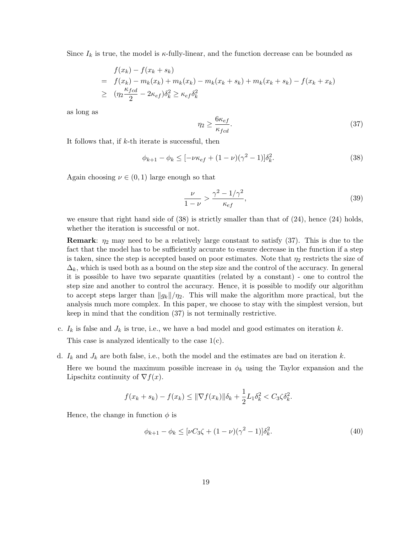Since  $I_k$  is true, the model is  $\kappa$ -fully-linear, and the function decrease can be bounded as

$$
f(x_k) - f(x_k + s_k)
$$
  
=  $f(x_k) - m_k(x_k) + m_k(x_k) - m_k(x_k + s_k) + m_k(x_k + s_k) - f(x_k + x_k)$   

$$
\geq (\eta_2 \frac{\kappa_{fcd}}{2} - 2\kappa_{ef})\delta_k^2 \geq \kappa_{ef}\delta_k^2
$$

as long as

$$
\eta_2 \ge \frac{6\kappa_{ef}}{\kappa_{fcd}}.\tag{37}
$$

It follows that, if  $k$ -th iterate is successful, then

$$
\phi_{k+1} - \phi_k \le [-\nu \kappa_{ef} + (1 - \nu)(\gamma^2 - 1)]\delta_k^2.
$$
 (38)

Again choosing  $\nu \in (0,1)$  large enough so that

$$
\frac{\nu}{1-\nu} > \frac{\gamma^2 - 1/\gamma^2}{\kappa_{ef}},\tag{39}
$$

we ensure that right hand side of (38) is strictly smaller than that of (24), hence (24) holds, whether the iteration is successful or not.

**Remark:**  $\eta_2$  may need to be a relatively large constant to satisfy (37). This is due to the fact that the model has to be sufficiently accurate to ensure decrease in the function if a step is taken, since the step is accepted based on poor estimates. Note that  $\eta_2$  restricts the size of  $\Delta_k$ , which is used both as a bound on the step size and the control of the accuracy. In general it is possible to have two separate quantities (related by a constant) - one to control the step size and another to control the accuracy. Hence, it is possible to modify our algorithm to accept steps larger than  $||g_k||/n_2$ . This will make the algorithm more practical, but the analysis much more complex. In this paper, we choose to stay with the simplest version, but keep in mind that the condition (37) is not terminally restrictive.

- c.  $I_k$  is false and  $J_k$  is true, i.e., we have a bad model and good estimates on iteration k. This case is analyzed identically to the case 1(c).
- d.  $I_k$  and  $J_k$  are both false, i.e., both the model and the estimates are bad on iteration k.

Here we bound the maximum possible increase in  $\phi_k$  using the Taylor expansion and the Lipschitz continuity of  $\nabla f(x)$ .

$$
f(x_k + s_k) - f(x_k) \le ||\nabla f(x_k)||\delta_k + \frac{1}{2}L_1\delta_k^2 < C_3\zeta\delta_k^2.
$$

Hence, the change in function  $\phi$  is

$$
\phi_{k+1} - \phi_k \le [\nu C_3 \zeta + (1 - \nu)(\gamma^2 - 1)] \delta_k^2. \tag{40}
$$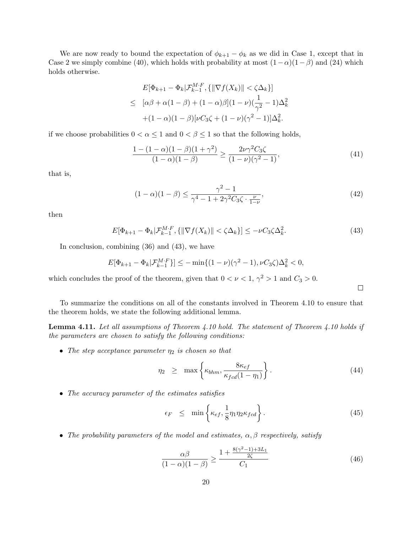We are now ready to bound the expectation of  $\phi_{k+1} - \phi_k$  as we did in Case 1, except that in Case 2 we simply combine (40), which holds with probability at most  $(1 - \alpha)(1 - \beta)$  and (24) which holds otherwise.

$$
E[\Phi_{k+1} - \Phi_k | \mathcal{F}_{k-1}^{M \cdot F}, \{ ||\nabla f(X_k)|| < \zeta \Delta_k \}]
$$
  
\n
$$
\leq [\alpha \beta + \alpha (1 - \beta) + (1 - \alpha)\beta](1 - \nu)(\frac{1}{\gamma^2} - 1)\Delta_k^2
$$
  
\n
$$
+ (1 - \alpha)(1 - \beta)[\nu C_3 \zeta + (1 - \nu)(\gamma^2 - 1)]\Delta_k^2.
$$

if we choose probabilities  $0 < \alpha \leq 1$  and  $0 < \beta \leq 1$  so that the following holds,

$$
\frac{1 - (1 - \alpha)(1 - \beta)(1 + \gamma^2)}{(1 - \alpha)(1 - \beta)} \ge \frac{2\nu\gamma^2 C_3\zeta}{(1 - \nu)(\gamma^2 - 1)},\tag{41}
$$

that is,

$$
(1 - \alpha)(1 - \beta) \le \frac{\gamma^2 - 1}{\gamma^4 - 1 + 2\gamma^2 C_3 \zeta \cdot \frac{\nu}{1 - \nu}},\tag{42}
$$

then

$$
E[\Phi_{k+1} - \Phi_k | \mathcal{F}_{k-1}^{M \cdot F}, \{ || \nabla f(X_k) || < \zeta \Delta_k \}] \leq -\nu C_3 \zeta \Delta_k^2.
$$
 (43)

In conclusion, combining (36) and (43), we have

$$
E[\Phi_{k+1} - \Phi_k | \mathcal{F}_{k-1}^{M \cdot F}] \le -\min\{(1-\nu)(\gamma^2 - 1), \nu C_3 \zeta)\Delta_k^2 < 0,
$$

which concludes the proof of the theorem, given that  $0 < \nu < 1$ ,  $\gamma^2 > 1$  and  $C_3 > 0$ .

To summarize the conditions on all of the constants involved in Theorem 4.10 to ensure that the theorem holds, we state the following additional lemma.

**Lemma 4.11.** Let all assumptions of Theorem 4.10 hold. The statement of Theorem 4.10 holds if the parameters are chosen to satisfy the following conditions:

• The step acceptance parameter  $\eta_2$  is chosen so that

$$
\eta_2 \geq \max \left\{ \kappa_{bhm}, \frac{8\kappa_{ef}}{\kappa_{fcd}(1-\eta_1)} \right\}.
$$
\n(44)

• The accuracy parameter of the estimates satisfies

$$
\epsilon_F \leq \min \left\{ \kappa_{ef}, \frac{1}{8} \eta_1 \eta_2 \kappa_{fcd} \right\}.
$$
 (45)

• The probability parameters of the model and estimates,  $\alpha, \beta$  respectively, satisfy

$$
\frac{\alpha \beta}{(1-\alpha)(1-\beta)} \ge \frac{1 + \frac{8(\gamma^2 - 1) + 3L_1}{2\zeta}}{C_1}
$$
\n(46)

 $\Box$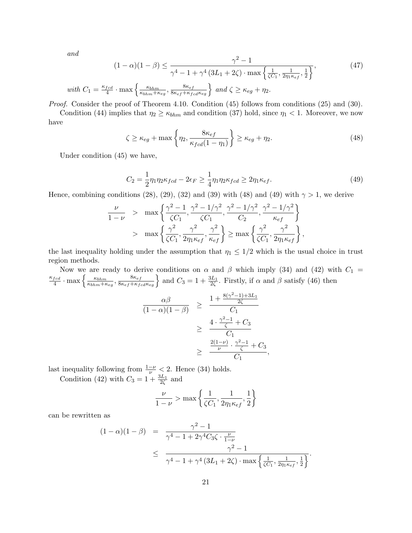and

$$
(1 - \alpha)(1 - \beta) \le \frac{\gamma^2 - 1}{\gamma^4 - 1 + \gamma^4 (3L_1 + 2\zeta) \cdot \max\left\{\frac{1}{\zeta C_1}, \frac{1}{2\eta_1 \kappa_{\epsilon f}}, \frac{1}{2}\right\}},\tag{47}
$$

with  $C_1 = \frac{\kappa_{fed}}{4}$  $\frac{fcd}{4} \cdot \max\left\{\frac{\kappa_{bhm}}{\kappa_{bhm}+\kappa}\right\}$  $\frac{\kappa_{bhm}}{\kappa_{bhm} + \kappa_{eg}}, \frac{8\kappa_{ef}}{8\kappa_{ef} + \kappa_{fcd}\kappa_{eg}}$  and  $\zeta \ge \kappa_{eg} + \eta_2$ .

Proof. Consider the proof of Theorem 4.10. Condition (45) follows from conditions (25) and (30).

Condition (44) implies that  $\eta_2 \geq \kappa_{bhm}$  and condition (37) hold, since  $\eta_1 < 1$ . Moreover, we now have

$$
\zeta \ge \kappa_{eg} + \max\left\{\eta_2, \frac{8\kappa_{ef}}{\kappa_{fcd}(1-\eta_1)}\right\} \ge \kappa_{eg} + \eta_2. \tag{48}
$$

Under condition (45) we have,

$$
C_2 = \frac{1}{2} \eta_1 \eta_2 \kappa_{fcd} - 2\epsilon_F \ge \frac{1}{4} \eta_1 \eta_2 \kappa_{fcd} \ge 2\eta_1 \kappa_{ef}.
$$
\n(49)

,

Hence, combining conditions (28), (29), (32) and (39) with (48) and (49) with  $\gamma > 1$ , we derive

$$
\frac{\nu}{1-\nu} > \max\left\{\frac{\gamma^2 - 1}{\zeta C_1}, \frac{\gamma^2 - 1/\gamma^2}{\zeta C_1}, \frac{\gamma^2 - 1/\gamma^2}{C_2}, \frac{\gamma^2 - 1/\gamma^2}{\kappa_{ef}}\right\}
$$
  
> 
$$
\max\left\{\frac{\gamma^2}{\zeta C_1}, \frac{\gamma^2}{2\eta_1 \kappa_{ef}}, \frac{\gamma^2}{\kappa_{ef}}\right\} \ge \max\left\{\frac{\gamma^2}{\zeta C_1}, \frac{\gamma^2}{2\eta_1 \kappa_{ef}}\right\},\
$$

the last inequality holding under the assumption that  $\eta_1 \leq 1/2$  which is the usual choice in trust region methods.

Now we are ready to derive conditions on  $\alpha$  and  $\beta$  which imply (34) and (42) with  $C_1$  =  $\kappa_{fcd}$  $\frac{fcd}{4} \cdot \max\left\{\frac{\kappa_{bhm}}{\kappa_{bhm}+\kappa}\right\}$  $\frac{\kappa_{bbm}}{\kappa_{bbm}+\kappa_{eg}}$ ,  $\frac{8\kappa_{ef}}{8\kappa_{ef}+\kappa_{fcd}\kappa_{eg}}$  and  $C_3 = 1 + \frac{3L_1}{2\zeta}$ . Firstly, if  $\alpha$  and  $\beta$  satisfy (46) then

$$
\frac{\alpha\beta}{(1-\alpha)(1-\beta)} \geq \frac{1+\frac{8(\gamma^2-1)+3L_1}{2\zeta}}{C_1}
$$
\n
$$
\geq \frac{4\cdot\frac{\gamma^2-1}{\zeta}+C_3}{C_1}
$$
\n
$$
\geq \frac{\frac{2(1-\nu)}{\nu}\cdot\frac{\gamma^2-1}{\zeta}+C_3}{C_1}
$$

last inequality following from  $\frac{1-\nu}{\nu} < 2$ . Hence (34) holds.

Condition (42) with  $C_3 = 1 + \frac{3L_1}{2\zeta}$  and

$$
\frac{\nu}{1-\nu} > \max\left\{\frac{1}{\zeta C_1}, \frac{1}{2\eta_1 \kappa_{ef}}, \frac{1}{2}\right\}
$$

can be rewritten as

$$
(1 - \alpha)(1 - \beta) = \frac{\gamma^2 - 1}{\gamma^4 - 1 + 2\gamma^4 C_3 \zeta \cdot \frac{\nu}{1 - \nu}} \le \frac{\gamma^2 - 1}{\gamma^4 - 1 + \gamma^4 (3L_1 + 2\zeta) \cdot \max\left\{\frac{1}{\zeta C_1}, \frac{1}{2\eta_1 \kappa_{\epsilon f}}, \frac{1}{2}\right\}}.
$$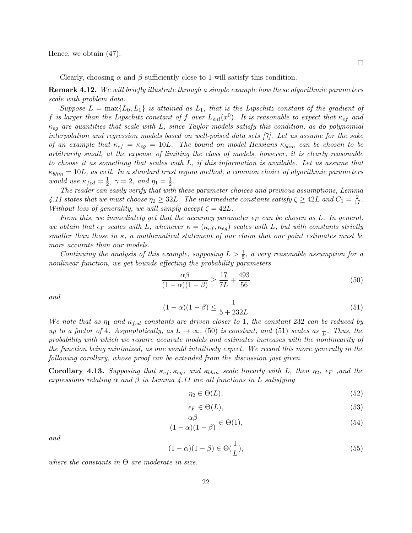Hence, we obtain (47).

Clearly, choosing  $\alpha$  and  $\beta$  sufficiently close to 1 will satisfy this condition.

Remark 4.12. We will briefly illustrate through a simple example how these algorithmic parameters scale with problem data.

Suppose  $L = \max\{L_0, L_1\}$  is attained as  $L_1$ , that is the Lipschitz constant of the gradient of f is larger than the Lipschitz constant of f over  $L_{enl}(x^0)$ . It is reasonable to expect that  $\kappa_{ef}$  and  $\kappa_{eq}$  are quantities that scale with L, since Taylor models satisfy this condition, as do polynomial interpolation and regression models based on well-poised data sets [7]. Let us assume for the sake of an example that  $\kappa_{ef} = \kappa_{eg} = 10L$ . The bound on model Hessians  $\kappa_{bhm}$  can be chosen to be arbitrarily small, at the expense of limiting the class of models, however, it is clearly reasonable to choose it as something that scales with L, if this information is available. Let us assume that  $\kappa_{bhm} = 10L$ , as well. In a standard trust region method, a common choice of algorithmic parameters would use  $\kappa_{fcd} = \frac{1}{2}$  $\frac{1}{2}$ ,  $\gamma = 2$ , and  $\eta_1 = \frac{1}{2}$  $\frac{1}{2}$ .

The reader can easily verify that with these parameter choices and previous assumptions, Lemma 4.11 states that we must choose  $\eta_2 \geq 32L$ . The intermediate constants satisfy  $\zeta \geq 42L$  and  $C_1 = \frac{2}{17}$ . Without loss of generality, we will simply accept  $\zeta = 42L$ .

From this, we immediately get that the accuracy parameter  $\epsilon_F$  can be chosen as L. In general, we obtain that  $\epsilon_F$  scales with L, whenever  $\kappa = (\kappa_{\epsilon f}, \kappa_{eq})$  scales with L, but with constants strictly smaller than those in  $\kappa$ , a mathematical statement of our claim that our point estimates must be more accurate than our models.

Continuing the analysis of this example, supposing  $L > \frac{1}{5}$ , a very reasonable assumption for a nonlinear function, we get bounds affecting the probability parameters

$$
\frac{\alpha\beta}{(1-\alpha)(1-\beta)} \ge \frac{17}{7L} + \frac{493}{56}
$$
\n
$$
(50)
$$

and

$$
(1 - \alpha)(1 - \beta) \le \frac{1}{5 + 232L} \tag{51}
$$

We note that as  $\eta_1$  and  $\kappa_{fed}$  constants are driven closer to 1, the constant 232 can be reduced by up to a factor of 4. Asymptotically, as  $L \to \infty$ , (50) is constant, and (51) scales as  $\frac{1}{L}$ . Thus, the probability with which we require accurate models and estimates increases with the nonlinearity of the function being minimized, as one would intuitively expect. We record this more generally in the following corollary, whose proof can be extended from the discussion just given.

Corollary 4.13. Supposing that  $\kappa_{ef}, \kappa_{eg}$ , and  $\kappa_{bhm}$  scale linearly with L, then  $\eta_2$ ,  $\epsilon_F$ , and the expressions relating  $\alpha$  and  $\beta$  in Lemma 4.11 are all functions in L satisfying

$$
\eta_2 \in \Theta(L),\tag{52}
$$

$$
\epsilon_F \in \Theta(L),\tag{53}
$$

$$
\frac{\alpha\beta}{(1-\alpha)(1-\beta)} \in \Theta(1),\tag{54}
$$

and

$$
(1 - \alpha)(1 - \beta) \in \Theta(\frac{1}{L}),\tag{55}
$$

where the constants in  $\Theta$  are moderate in size.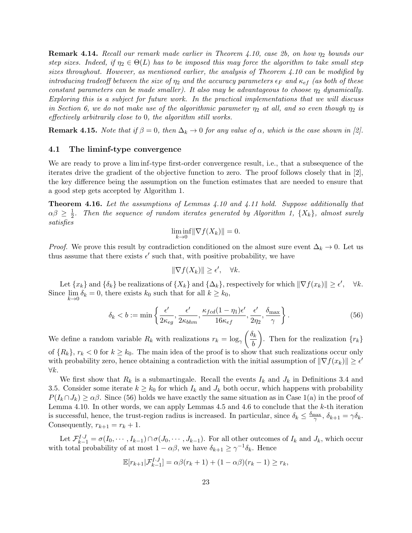**Remark 4.14.** Recall our remark made earlier in Theorem 4.10, case 2b, on how  $\eta_2$  bounds our step sizes. Indeed, if  $\eta_2 \in \Theta(L)$  has to be imposed this may force the algorithm to take small step sizes throughout. However, as mentioned earlier, the analysis of Theorem 4.10 can be modified by introducing tradeoff between the size of  $\eta_2$  and the accuracy parameters  $\epsilon_F$  and  $\kappa_{ef}$  (as both of these constant parameters can be made smaller). It also may be advantageous to choose  $\eta_2$  dynamically. Exploring this is a subject for future work. In the practical implementations that we will discuss in Section 6, we do not make use of the algorithmic parameter  $\eta_2$  at all, and so even though  $\eta_2$  is effectively arbitrarily close to 0, the algorithm still works.

**Remark 4.15.** Note that if  $\beta = 0$ , then  $\Delta_k \to 0$  for any value of  $\alpha$ , which is the case shown in [2].

#### 4.1 The liminf-type convergence

We are ready to prove a lim inf-type first-order convergence result, i.e., that a subsequence of the iterates drive the gradient of the objective function to zero. The proof follows closely that in [2], the key difference being the assumption on the function estimates that are needed to ensure that a good step gets accepted by Algorithm 1.

Theorem 4.16. Let the assumptions of Lemmas 4.10 and 4.11 hold. Suppose additionally that  $\alpha\beta \geq \frac{1}{2}$  $\frac{1}{2}$ . Then the sequence of random iterates generated by Algorithm 1,  $\{X_k\}$ , almost surely satisfies

$$
\liminf_{k \to 0} \|\nabla f(X_k)\| = 0.
$$

*Proof.* We prove this result by contradiction conditioned on the almost sure event  $\Delta_k \to 0$ . Let us thus assume that there exists  $\epsilon'$  such that, with positive probability, we have

$$
\|\nabla f(X_k)\| \ge \epsilon', \quad \forall k.
$$

Let  $\{x_k\}$  and  $\{\delta_k\}$  be realizations of  $\{X_k\}$  and  $\{\Delta_k\}$ , respectively for which  $\|\nabla f(x_k)\| \ge \epsilon'$  $\forall k.$ Since  $\lim_{k\to 0} \delta_k = 0$ , there exists  $k_0$  such that for all  $k \ge k_0$ ,

$$
\delta_k < b := \min\left\{\frac{\epsilon'}{2\kappa_{eg}}, \frac{\epsilon'}{2\kappa_{bhm}}, \frac{\kappa_{fcd}(1-\eta_1)\epsilon'}{16\kappa_{ef}}, \frac{\epsilon'}{2\eta_2}, \frac{\delta_{\text{max}}}{\gamma}\right\}.\tag{56}
$$

We define a random variable  $R_k$  with realizations  $r_k = \log_{\gamma} \left( \frac{\delta_k}{h} \right)$ b ). Then for the realization  $\{r_k\}$ of  $\{R_k\}, r_k < 0$  for  $k \geq k_0$ . The main idea of the proof is to show that such realizations occur only with probability zero, hence obtaining a contradiction with the initial assumption of  $\|\nabla f(x_k)\| \geq \epsilon'$ ∀k.

We first show that  $R_k$  is a submartingale. Recall the events  $I_k$  and  $J_k$  in Definitions 3.4 and 3.5. Consider some iterate  $k \geq k_0$  for which  $I_k$  and  $J_k$  both occur, which happens with probability  $P(I_k \cap J_k) \ge \alpha \beta$ . Since (56) holds we have exactly the same situation as in Case 1(a) in the proof of Lemma 4.10. In other words, we can apply Lemmas 4.5 and 4.6 to conclude that the  $k$ -th iteration is successful, hence, the trust-region radius is increased. In particular, since  $\delta_k \leq \frac{\delta_{\max}}{\gamma}, \delta_{k+1} = \gamma \delta_k$ . Consequently,  $r_{k+1} = r_k + 1$ .

Let  $\mathcal{F}_{k-1}^{I \cdot J} = \sigma(I_0, \cdots, I_{k-1}) \cap \sigma(J_0, \cdots, J_{k-1})$ . For all other outcomes of  $I_k$  and  $J_k$ , which occur with total probability of at most  $1 - \alpha\beta$ , we have  $\delta_{k+1} \geq \gamma^{-1}\delta_k$ . Hence

$$
\mathbb{E}[r_{k+1}|\mathcal{F}_{k-1}^{I \cdot J}] = \alpha \beta(r_k + 1) + (1 - \alpha \beta)(r_k - 1) \ge r_k,
$$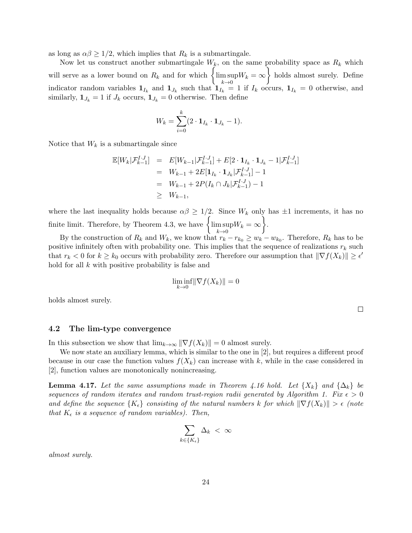as long as  $\alpha\beta \geq 1/2$ , which implies that  $R_k$  is a submartingale.

Now let us construct another submartingale  $W_k$ , on the same probability space as  $R_k$  which will serve as a lower bound on  $R_k$  and for which  $\left\{\limsup_{n\to\infty}\right\}$  $\max_{k\to 0} W_k = \infty$  holds almost surely. Define indicator random variables  $\mathbf{1}_{I_k}$  and  $\mathbf{1}_{J_k}$  such that  $\mathbf{1}_{I_k} = 1$  if  $I_k$  occurs,  $\mathbf{1}_{I_k} = 0$  otherwise, and similarly,  $\mathbf{1}_{J_k} = 1$  if  $J_k$  occurs,  $\mathbf{1}_{J_k} = 0$  otherwise. Then define

$$
W_k = \sum_{i=0}^k (2 \cdot \mathbf{1}_{I_k} \cdot \mathbf{1}_{J_k} - 1).
$$

Notice that  $W_k$  is a submartingale since

$$
\mathbb{E}[W_k|\mathcal{F}_{k-1}^{I \cdot J}] = E[W_{k-1}|\mathcal{F}_{k-1}^{I \cdot J}] + E[2 \cdot \mathbf{1}_{I_k} \cdot \mathbf{1}_{J_k} - 1|\mathcal{F}_{k-1}^{I \cdot J}]
$$
  
\n
$$
= W_{k-1} + 2E[\mathbf{1}_{I_k} \cdot \mathbf{1}_{J_k}|\mathcal{F}_{k-1}^{I \cdot J}] - 1
$$
  
\n
$$
= W_{k-1} + 2P(I_k \cap J_k|\mathcal{F}_{k-1}^{I \cdot J}) - 1
$$
  
\n
$$
\geq W_{k-1},
$$

where the last inequality holds because  $\alpha\beta \geq 1/2$ . Since  $W_k$  only has  $\pm 1$  increments, it has no finite limit. Therefore, by Theorem 4.3, we have  $\{ \limsup$  $\max_{k\to 0} W_k = \infty$ .

By the construction of  $R_k$  and  $W_k$ , we know that  $r_k - r_{k_0} \geq w_k - w_{k_0}$ . Therefore,  $R_k$  has to be positive infinitely often with probability one. This implies that the sequence of realizations  $r_k$  such that  $r_k < 0$  for  $k \geq k_0$  occurs with probability zero. Therefore our assumption that  $\|\nabla f(X_k)\| \geq \epsilon'$ hold for all k with positive probability is false and

$$
\liminf_{k \to 0} \|\nabla f(X_k)\| = 0
$$

holds almost surely.

 $\Box$ 

#### 4.2 The lim-type convergence

In this subsection we show that  $\lim_{k\to\infty} \|\nabla f(X_k)\| = 0$  almost surely.

We now state an auxiliary lemma, which is similar to the one in [2], but requires a different proof because in our case the function values  $f(X_k)$  can increase with k, while in the case considered in [2], function values are monotonically nonincreasing.

**Lemma 4.17.** Let the same assumptions made in Theorem 4.16 hold. Let  $\{X_k\}$  and  $\{\Delta_k\}$  be sequences of random iterates and random trust-region radii generated by Algorithm 1. Fix  $\epsilon > 0$ and define the sequence  ${K_{\epsilon}}$  consisting of the natural numbers k for which  $\|\nabla f(X_k)\| > \epsilon$  (note that  $K_{\epsilon}$  is a sequence of random variables). Then,

$$
\sum_{k\in\{K_\epsilon\}}\Delta_k\ <\ \infty
$$

almost surely.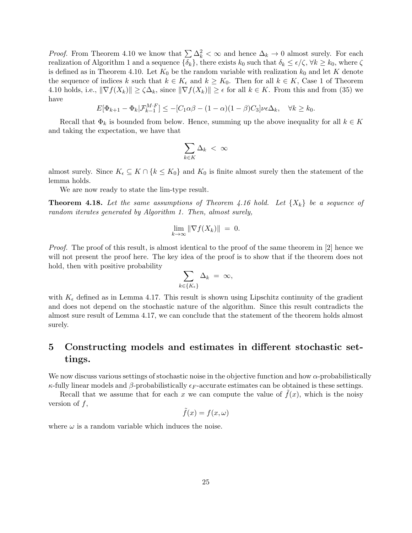*Proof.* From Theorem 4.10 we know that  $\sum \Delta_k^2 < \infty$  and hence  $\Delta_k \to 0$  almost surely. For each realization of Algorithm 1 and a sequence  $\{\delta_k\}$ , there exists  $k_0$  such that  $\delta_k \leq \epsilon/\zeta$ ,  $\forall k \geq k_0$ , where  $\zeta$ is defined as in Theorem 4.10. Let  $K_0$  be the random variable with realization  $k_0$  and let K denote the sequence of indices k such that  $k \in K_{\epsilon}$  and  $k \geq K_0$ . Then for all  $k \in K$ , Case 1 of Theorem 4.10 holds, i.e.,  $\|\nabla f(X_k)\| \geq \zeta \Delta_k$ , since  $\|\nabla f(X_k)\| \geq \epsilon$  for all  $k \in K$ . From this and from (35) we have

$$
E[\Phi_{k+1} - \Phi_k | \mathcal{F}_{k-1}^{M \cdot F}] \le -[C_1 \alpha \beta - (1 - \alpha)(1 - \beta)C_3] \nu \epsilon \Delta_k, \quad \forall k \ge k_0.
$$

Recall that  $\Phi_k$  is bounded from below. Hence, summing up the above inequality for all  $k \in K$ and taking the expectation, we have that

$$
\sum_{k\in K}\Delta_k\ <\ \infty
$$

almost surely. Since  $K_{\epsilon} \subseteq K \cap \{k \leq K_0\}$  and  $K_0$  is finite almost surely then the statement of the lemma holds.

We are now ready to state the lim-type result.

**Theorem 4.18.** Let the same assumptions of Theorem 4.16 hold. Let  $\{X_k\}$  be a sequence of random iterates generated by Algorithm 1. Then, almost surely,

$$
\lim_{k \to \infty} \|\nabla f(X_k)\| = 0.
$$

Proof. The proof of this result, is almost identical to the proof of the same theorem in [2] hence we will not present the proof here. The key idea of the proof is to show that if the theorem does not hold, then with positive probability

$$
\sum_{k \in \{K_{\epsilon}\}} \Delta_k = \infty,
$$

with  $K_{\epsilon}$  defined as in Lemma 4.17. This result is shown using Lipschitz continuity of the gradient and does not depend on the stochastic nature of the algorithm. Since this result contradicts the almost sure result of Lemma 4.17, we can conclude that the statement of the theorem holds almost surely.

# 5 Constructing models and estimates in different stochastic settings.

We now discuss various settings of stochastic noise in the objective function and how α-probabilistically  $κ$ -fully linear models and β-probabilistically  $ε_F$ -accurate estimates can be obtained is these settings.

Recall that we assume that for each x we can compute the value of  $f(x)$ , which is the noisy version of  $f$ ,

$$
\tilde{f}(x) = f(x, \omega)
$$

where  $\omega$  is a random variable which induces the noise.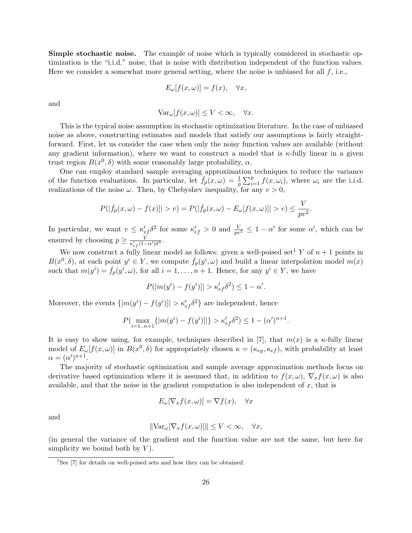Simple stochastic noise. The example of noise which is typically considered in stochastic optimization is the "i.i.d." noise, that is noise with distribution independent of the function values. Here we consider a somewhat more general setting, where the noise is unbiased for all  $f$ , i.e.,

$$
E_{\omega}[f(x,\omega)] = f(x), \quad \forall x,
$$

and

$$
\text{Var}_{\omega}[f(x,\omega)] \le V < \infty, \quad \forall x.
$$

This is the typical noise assumption in stochastic optimization literature. In the case of unbiased noise as above, constructing estimates and models that satisfy our assumptions is fairly straightforward. First, let us consider the case when only the noisy function values are available (without any gradient information), where we want to construct a model that is  $\kappa$ -fully linear in a given trust region  $B(x^0, \delta)$  with some reasonably large probability,  $\alpha$ .

One can employ standard sample averaging approximation techniques to reduce the variance of the function evaluations. In particular, let  $\bar{f}_p(x,\omega) = \frac{1}{p} \sum_{i=1}^p f(x,\omega_i)$ , where  $\omega_i$  are the i.i.d. realizations of the noise  $\omega$ . Then, by Chebyshev inequality, for any  $v > 0$ ,

$$
P(|\bar{f}_p(x,\omega) - f(x)|) > v) = P(|\bar{f}_p(x,\omega) - E_{\omega}[f(x,\omega)]| > v) \le \frac{V}{pv^2}.
$$

In particular, we want  $v \le \kappa'_{ef} \delta^2$  for some  $\kappa'_{ef} > 0$  and  $\frac{V}{pv^2} \le 1 - \alpha'$  for some  $\alpha'$ , which can be ensured by choosing  $p \geq \frac{V}{r^{\prime}+1}$  $\frac{V}{\kappa'_{ef}(1-\alpha')\delta^4}.$ 

We now construct a fully linear model as follows: given a well-poised set<sup>1</sup> Y of  $n+1$  points in  $B(x^0, \delta)$ , at each point  $y^i \in Y$ , we compute  $\bar{f}_p(y^i, \omega)$  and build a linear interpolation model  $m(x)$ such that  $m(y^i) = \bar{f}_p(y^i, \omega)$ , for all  $i = 1, \ldots, n + 1$ . Hence, for any  $y^i \in Y$ , we have

$$
P(|m(y^{i}) - f(y^{i})| > \kappa'_{ef} \delta^{2}) \le 1 - \alpha'.
$$

Moreover, the events  $\{|m(y^{i}) - f(y^{i})]| > \kappa'_{ef} \delta^{2}\}\$ are independent, hence

$$
P(\max_{i=1..n+1} \{|m(y^{i}) - f(y^{i})\}| > \kappa'_{ef} \delta^{2}) \le 1 - (\alpha')^{n+1}.
$$

It is easy to show using, for example, techniques described in [7], that  $m(x)$  is a  $\kappa$ -fully linear model of  $E_{\omega}[f(x,\omega)]$  in  $B(x^0,\delta)$  for appropriately chosen  $\kappa = (\kappa_{eg}, \kappa_{ef}),$  with probability at least  $\alpha = (\alpha')^{n+1}.$ 

The majority of stochastic optimization and sample average approximation methods focus on derivative based optimization where it is assumed that, in addition to  $f(x, \omega)$ ,  $\nabla_x f(x, \omega)$  is also available, and that the noise in the gradient computation is also independent of  $x$ , that is

$$
E_{\omega}[\nabla_x f(x,\omega)] = \nabla f(x), \quad \forall x
$$

and

$$
\|\text{Var}_{\omega}[\nabla_x f(x,\omega)]\| \le V < \infty, \quad \forall x,
$$

(in general the variance of the gradient and the function value are not the same, but here for simplicity we bound both by  $V$ ).

 $1$ See [7] for details on well-poised sets and how they can be obtained.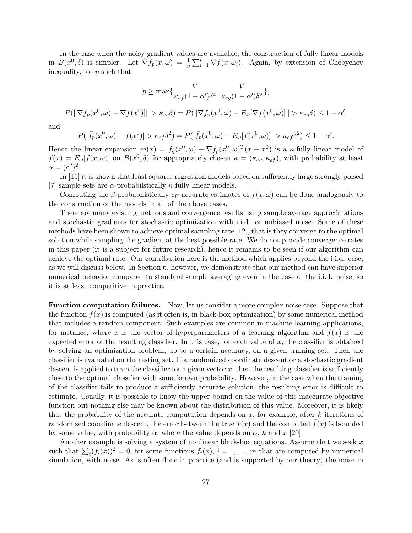In the case when the noisy gradient values are available, the construction of fully linear models in  $B(x^0, \delta)$  is simpler. Let  $\overline{\nabla} f_p(x, \omega) = \frac{1}{p} \sum_{i=1}^p \nabla f(x, \omega_i)$ . Again, by extension of Chebychev inequality, for  $p$  such that

$$
p \ge \max\{\frac{V}{\kappa_{ef}(1-\alpha')\delta^4}, \frac{V}{\kappa_{eg}(1-\alpha')\delta^2}\},
$$

$$
P(\|\bar{\nabla}f_p(x^0,\omega) - \nabla f(x^0)\|\| > \kappa_{eg}\delta) = P(\|\bar{\nabla}f_p(x^0,\omega) - E_\omega[\nabla f(x^0,\omega)\|\| > \kappa_{eg}\delta) \le 1 - \alpha
$$

 $^{\prime}$ ,

and

$$
P(|\bar{f}_p(x^0,\omega) - f(x^0)| > \kappa_{ef} \delta^2) = P(|\bar{f}_p(x^0,\omega) - E_{\omega}[f(x^0,\omega)]| > \kappa_{ef} \delta^2) \le 1 - \alpha'.
$$

Hence the linear expansion  $m(x) = \bar{f}_q(x^0, \omega) + \bar{\nabla} f_p(x^0, \omega)^T (x - x^0)$  is a  $\kappa$ -fully linear model of  $f(x) = E_{\omega}[f(x,\omega)]$  on  $B(x^0,\delta)$  for appropriately chosen  $\kappa = (\kappa_{eg}, \kappa_{ef}),$  with probability at least  $\alpha = (\alpha')^2$ .

In [15] it is shown that least squares regression models based on sufficiently large strongly poised [7] sample sets are  $\alpha$ -probabilitically  $\kappa$ -fully linear models.

Computing the β-probabilistically  $\epsilon_F$ -accurate estimates of  $f(x, \omega)$  can be done analogously to the construction of the models in all of the above cases.

There are many existing methods and convergence results using sample average approximations and stochastic gradients for stochastic optimization with i.i.d. or unbiased noise. Some of these methods have been shown to achieve optimal sampling rate [12], that is they converge to the optimal solution while sampling the gradient at the best possible rate. We do not provide convergence rates in this paper (it is a subject for future research), hence it remains to be seen if our algorithm can achieve the optimal rate. Our contribution here is the method which applies beyond the i.i.d. case, as we will discuss below. In Section 6, however, we demonstrate that our method can have superior numerical behavior compared to standard sample averaging even in the case of the i.i.d. noise, so it is at least competitive in practice.

Function computation failures. Now, let us consider a more complex noise case. Suppose that the function  $f(x)$  is computed (as it often is, in black-box optimization) by some numerical method that includes a random component. Such examples are common in machine learning applications, for instance, where x is the vector of hyperparameters of a learning algorithm and  $f(x)$  is the expected error of the resulting classifier. In this case, for each value of  $x$ , the classifier is obtained by solving an optimization problem, up to a certain accuracy, on a given training set. Then the classifier is evaluated on the testing set. If a randomized coordinate descent or a stochastic gradient descent is applied to train the classifier for a given vector  $x$ , then the resulting classifier is sufficiently close to the optimal classifier with some known probability. However, in the case when the training of the classifier fails to produce a sufficiently accurate solution, the resulting error is difficult to estimate. Usually, it is possible to know the upper bound on the value of this inaccurate objective function but nothing else may be known about the distribution of this value. Moreover, it is likely that the probability of the accurate computation depends on  $x$ ; for example, after k iterations of randomized coordinate descent, the error between the true  $f(x)$  and the computed  $f(x)$  is bounded by some value, with probability  $\alpha$ , where the value depends on  $\alpha$ , k and x [20].

Another example is solving a system of nonlinear black-box equations. Assume that we seek  $x$ such that  $\sum_i (f_i(x))^2 = 0$ , for some functions  $f_i(x)$ ,  $i = 1, ..., m$  that are computed by numerical simulation, with noise. As is often done in practice (and is supported by our theory) the noise in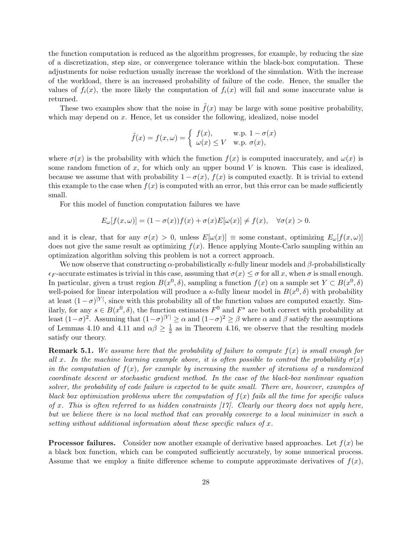the function computation is reduced as the algorithm progresses, for example, by reducing the size of a discretization, step size, or convergence tolerance within the black-box computation. These adjustments for noise reduction usually increase the workload of the simulation. With the increase of the workload, there is an increased probability of failure of the code. Hence, the smaller the values of  $f_i(x)$ , the more likely the computation of  $f_i(x)$  will fail and some inaccurate value is returned.

These two examples show that the noise in  $\hat{f}(x)$  may be large with some positive probability, which may depend on x. Hence, let us consider the following, idealized, noise model

$$
\tilde{f}(x) = f(x, \omega) = \begin{cases} f(x), & \text{w.p. } 1 - \sigma(x) \\ \omega(x) \le V & \text{w.p. } \sigma(x), \end{cases}
$$

where  $\sigma(x)$  is the probability with which the function  $f(x)$  is computed inaccurately, and  $\omega(x)$  is some random function of  $x$ , for which only an upper bound  $V$  is known. This case is idealized, because we assume that with probability  $1 - \sigma(x)$ ,  $f(x)$  is computed exactly. It is trivial to extend this example to the case when  $f(x)$  is computed with an error, but this error can be made sufficiently small.

For this model of function computation failures we have

$$
E_{\omega}[f(x,\omega)] = (1 - \sigma(x))f(x) + \sigma(x)E[\omega(x)] \neq f(x), \quad \forall \sigma(x) > 0.
$$

and it is clear, that for any  $\sigma(x) > 0$ , unless  $E[\omega(x)] \equiv$  some constant, optimizing  $E_{\omega}[f(x, \omega)]$ does not give the same result as optimizing  $f(x)$ . Hence applying Monte-Carlo sampling within an optimization algorithm solving this problem is not a correct approach.

We now observe that constructing  $\alpha$ -probabilistically  $\kappa$ -fully linear models and  $\beta$ -probabilistically  $\epsilon_F$ -accurate estimates is trivial in this case, assuming that  $\sigma(x) \leq \sigma$  for all x, when  $\sigma$  is small enough. In particular, given a trust region  $B(x^0, \delta)$ , sampling a function  $f(x)$  on a sample set  $Y \subset B(x^0, \delta)$ well-poised for linear interpolation will produce a  $\kappa$ -fully linear model in  $B(x^0, \delta)$  with probability at least  $(1 - \sigma)^{|Y|}$ , since with this probability all of the function values are computed exactly. Similarly, for any  $s \in B(x^0, \delta)$ , the function estimates  $F^0$  and  $F^s$  are both correct with probability at least  $(1-\sigma)^2$ . Assuming that  $(1-\sigma)^{|Y|} \ge \alpha$  and  $(1-\sigma)^2 \ge \beta$  where  $\alpha$  and  $\beta$  satisfy the assumptions of Lemmas 4.10 and 4.11 and  $\alpha\beta \geq \frac{1}{2}$  $\frac{1}{2}$  as in Theorem 4.16, we observe that the resulting models satisfy our theory.

**Remark 5.1.** We assume here that the probability of failure to compute  $f(x)$  is small enough for all x. In the machine learning example above, it is often possible to control the probability  $\sigma(x)$ in the computation of  $f(x)$ , for example by increasing the number of iterations of a randomized coordinate descent or stochastic gradient method. In the case of the black-box nonlinear equation solver, the probability of code failure is expected to be quite small. There are, however, examples of black box optimization problems where the computation of  $f(x)$  fails all the time for specific values of x. This is often referred to as hidden constraints  $[17]$ . Clearly our theory does not apply here, but we believe there is no local method that can provably converge to a local minimizer in such a setting without additional information about these specific values of x.

**Processor failures.** Consider now another example of derivative based approaches. Let  $f(x)$  be a black box function, which can be computed sufficiently accurately, by some numerical process. Assume that we employ a finite difference scheme to compute approximate derivatives of  $f(x)$ ,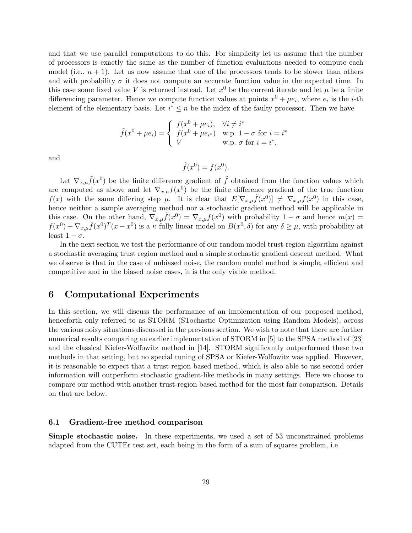and that we use parallel computations to do this. For simplicity let us assume that the number of processors is exactly the same as the number of function evaluations needed to compute each model (i.e.,  $n + 1$ ). Let us now assume that one of the processors tends to be slower than others and with probability  $\sigma$  it does not compute an accurate function value in the expected time. In this case some fixed value V is returned instead. Let  $x^0$  be the current iterate and let  $\mu$  be a finite differencing parameter. Hence we compute function values at points  $x^0 + \mu e_i$ , where  $e_i$  is the *i*-th element of the elementary basis. Let  $i^* \leq n$  be the index of the faulty processor. Then we have

$$
\tilde{f}(x^0 + \mu e_i) = \begin{cases}\nf(x^0 + \mu e_i), & \forall i \neq i^* \\
f(x^0 + \mu e_{i^*}) & \text{w.p. } 1 - \sigma \text{ for } i = i^* \\
V & \text{w.p. } \sigma \text{ for } i = i^*,\n\end{cases}
$$

and

$$
\tilde{f}(x^0) = f(x^0).
$$

Let  $\nabla_{x,\mu} \tilde{f}(x^0)$  be the finite difference gradient of  $\tilde{f}$  obtained from the function values which are computed as above and let  $\nabla_{x,\mu} f(x^0)$  be the finite difference gradient of the true function  $f(x)$  with the same differing step  $\mu$ . It is clear that  $E[\nabla_{x,\mu} \tilde{f}(x^0)] \neq \nabla_{x,\mu} f(x^0)$  in this case, hence neither a sample averaging method nor a stochastic gradient method will be applicable in this case. On the other hand,  $\nabla_{x,\mu} \tilde{f}(x^0) = \nabla_{x,\mu} f(x^0)$  with probability  $1-\sigma$  and hence  $m(x) =$  $f(x^0) + \nabla_{x,\mu} \tilde{f}(x^0)^T (x - x^0)$  is a  $\kappa$ -fully linear model on  $B(x^0, \delta)$  for any  $\delta \geq \mu$ , with probability at least  $1 - \sigma$ .

In the next section we test the performance of our random model trust-region algorithm against a stochastic averaging trust region method and a simple stochastic gradient descent method. What we observe is that in the case of unbiased noise, the random model method is simple, efficient and competitive and in the biased noise cases, it is the only viable method.

# 6 Computational Experiments

In this section, we will discuss the performance of an implementation of our proposed method, henceforth only referred to as STORM (STochastic Optimization using Random Models), across the various noisy situations discussed in the previous section. We wish to note that there are further numerical results comparing an earlier implementation of STORM in [5] to the SPSA method of [23] and the classical Kiefer-Wolfowitz method in [14]. STORM significantly outperformed these two methods in that setting, but no special tuning of SPSA or Kiefer-Wolfowitz was applied. However, it is reasonable to expect that a trust-region based method, which is also able to use second order information will outperform stochastic gradient-like methods in many settings. Here we choose to compare our method with another trust-region based method for the most fair comparison. Details on that are below.

#### 6.1 Gradient-free method comparison

Simple stochastic noise. In these experiments, we used a set of 53 unconstrained problems adapted from the CUTEr test set, each being in the form of a sum of squares problem, i.e.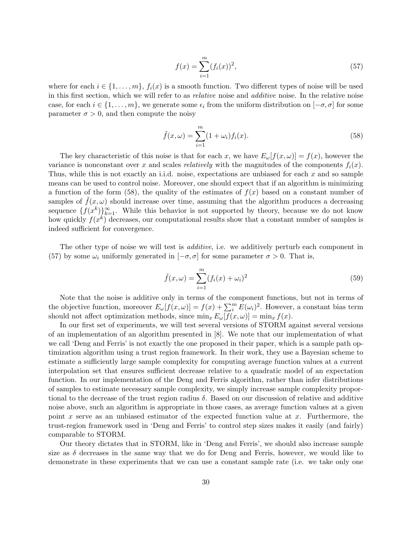$$
f(x) = \sum_{i=1}^{m} (f_i(x))^2,
$$
\n(57)

where for each  $i \in \{1, \ldots, m\}$ ,  $f_i(x)$  is a smooth function. Two different types of noise will be used in this first section, which we will refer to as relative noise and additive noise. In the relative noise case, for each  $i \in \{1, \ldots, m\}$ , we generate some  $\epsilon_i$  from the uniform distribution on  $[-\sigma, \sigma]$  for some parameter  $\sigma > 0$ , and then compute the noisy

$$
\tilde{f}(x,\omega) = \sum_{i=1}^{m} (1+\omega_i) f_i(x). \tag{58}
$$

The key characteristic of this noise is that for each x, we have  $E_{\omega}[f(x,\omega)] = f(x)$ , however the variance is nonconstant over x and scales *relatively* with the magnitudes of the components  $f_i(x)$ . Thus, while this is not exactly an i.i.d. noise, expectations are unbiased for each x and so sample means can be used to control noise. Moreover, one should expect that if an algorithm is minimizing a function of the form (58), the quality of the estimates of  $f(x)$  based on a constant number of samples of  $f(x, \omega)$  should increase over time, assuming that the algorithm produces a decreasing sequence  $\{f(x^k)\}_{k=1}^{\infty}$ . While this behavior is not supported by theory, because we do not know how quickly  $f(x^k)$  decreases, our computational results show that a constant number of samples is indeed sufficient for convergence.

The other type of noise we will test is *additive*, i.e. we additively perturb each component in (57) by some  $\omega_i$  uniformly generated in  $[-\sigma, \sigma]$  for some parameter  $\sigma > 0$ . That is,

$$
\tilde{f}(x,\omega) = \sum_{i=1}^{m} (f_i(x) + \omega_i)^2
$$
\n(59)

Note that the noise is additive only in terms of the component functions, but not in terms of the objective function, moreover  $E_{\omega}[f(x,\omega)] = f(x) + \sum_{i=1}^{m} E(\omega_i)^2$ . However, a constant bias term should not affect optimization methods, since  $\min_x E_{\omega}[f(x,\omega)] = \min_x f(x)$ .

In our first set of experiments, we will test several versions of STORM against several versions of an implementation of an algorithm presented in [8]. We note that our implementation of what we call 'Deng and Ferris' is not exactly the one proposed in their paper, which is a sample path optimization algorithm using a trust region framework. In their work, they use a Bayesian scheme to estimate a sufficiently large sample complexity for computing average function values at a current interpolation set that ensures sufficient decrease relative to a quadratic model of an expectation function. In our implementation of the Deng and Ferris algorithm, rather than infer distributions of samples to estimate necessary sample complexity, we simply increase sample complexity proportional to the decrease of the trust region radius  $\delta$ . Based on our discussion of relative and additive noise above, such an algorithm is appropriate in those cases, as average function values at a given point x serve as an unbiased estimator of the expected function value at x. Furthermore, the trust-region framework used in 'Deng and Ferris' to control step sizes makes it easily (and fairly) comparable to STORM.

Our theory dictates that in STORM, like in 'Deng and Ferris', we should also increase sample size as  $\delta$  decreases in the same way that we do for Deng and Ferris, however, we would like to demonstrate in these experiments that we can use a constant sample rate (i.e. we take only one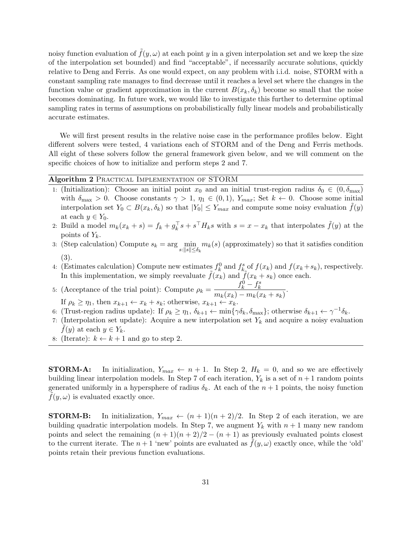noisy function evaluation of  $\tilde{f}(y, \omega)$  at each point y in a given interpolation set and we keep the size of the interpolation set bounded) and find "acceptable", if necessarily accurate solutions, quickly relative to Deng and Ferris. As one would expect, on any problem with i.i.d. noise, STORM with a constant sampling rate manages to find decrease until it reaches a level set where the changes in the function value or gradient approximation in the current  $B(x_k, \delta_k)$  become so small that the noise becomes dominating. In future work, we would like to investigate this further to determine optimal sampling rates in terms of assumptions on probabilistically fully linear models and probabilistically accurate estimates.

We will first present results in the relative noise case in the performance profiles below. Eight different solvers were tested, 4 variations each of STORM and of the Deng and Ferris methods. All eight of these solvers follow the general framework given below, and we will comment on the specific choices of how to initialize and perform steps 2 and 7.

#### Algorithm 2 PRACTICAL IMPLEMENTATION OF STORM

- 1: (Initialization): Choose an initial point  $x_0$  and an initial trust-region radius  $\delta_0 \in (0, \delta_{\max})$ with  $\delta_{\max} > 0$ . Choose constants  $\gamma > 1$ ,  $\eta_1 \in (0,1)$ ,  $Y_{max}$ ; Set  $k \leftarrow 0$ . Choose some initial interpolation set  $Y_0 \subset B(x_k, \delta_k)$  so that  $|Y_0| \leq Y_{max}$  and compute some noisy evaluation  $f(y)$ at each  $y \in Y_0$ .
- 2: Build a model  $m_k(x_k + s) = f_k + g_k^{\top} s + s^{\top} H_k s$  with  $s = x x_k$  that interpolates  $\tilde{f}(y)$  at the points of  $Y_k$ .
- 3: (Step calculation) Compute  $s_k = \arg\min_{s:\|s\| \leq \delta_k} m_k(s)$  (approximately) so that it satisfies condition (3).
- 4: (Estimates calculation) Compute new estimates  $f_k^0$  and  $f_{k}^s$  of  $f(x_k)$  and  $f(x_k+s_k)$ , respectively. In this implementation, we simply reevaluate  $\tilde{f}(x_k)$  and  $\tilde{f}(x_k + s_k)$  once each.

5: (Acceptance of the trial point): Compute  $\rho_k = \frac{f_k^0 - f_k^s}{\sqrt{f_k^0 + f_k^s}}$  $\frac{J_k - J_k}{m_k(x_k) - m_k(x_k + s_k)}$ . If  $\rho_k \geq \eta_1$ , then  $x_{k+1} \leftarrow x_k + s_k$ ; otherwise,  $x_{k+1} \leftarrow x_k$ 

- 6: (Trust-region radius update): If  $\rho_k \geq \eta_1$ ,  $\delta_{k+1} \leftarrow \min\{\gamma \delta_k, \delta_{\max}\}$ ; otherwise  $\delta_{k+1} \leftarrow \gamma^{-1} \delta_k$ .
- 7: (Interpolation set update): Acquire a new interpolation set  $Y_k$  and acquire a noisy evaluation  $f(y)$  at each  $y \in Y_k$ .
- 8: (Iterate):  $k \leftarrow k+1$  and go to step 2.

**STORM-A:** In initialization,  $Y_{max} \leftarrow n + 1$ . In Step 2,  $H_k = 0$ , and so we are effectively building linear interpolation models. In Step 7 of each iteration,  $Y_k$  is a set of  $n+1$  random points generated uniformly in a hypersphere of radius  $\delta_k$ . At each of the  $n+1$  points, the noisy function  $f(y, \omega)$  is evaluated exactly once.

**STORM-B:** In initialization,  $Y_{max} \leftarrow (n+1)(n+2)/2$ . In Step 2 of each iteration, we are building quadratic interpolation models. In Step 7, we augment  $Y_k$  with  $n + 1$  many new random points and select the remaining  $(n + 1)(n + 2)/2 - (n + 1)$  as previously evaluated points closest to the current iterate. The  $n + 1$  'new' points are evaluated as  $f(y, \omega)$  exactly once, while the 'old' points retain their previous function evaluations.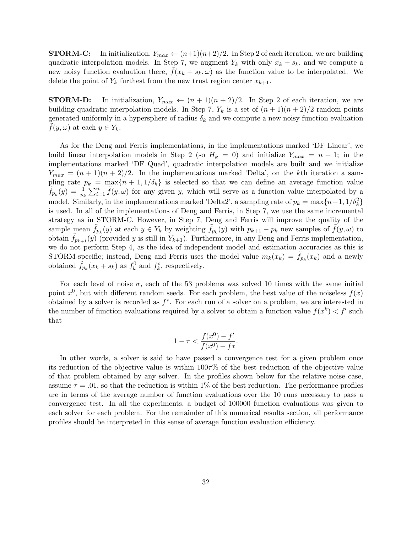**STORM-C:** In initialization,  $Y_{max} \leftarrow (n+1)(n+2)/2$ . In Step 2 of each iteration, we are building quadratic interpolation models. In Step 7, we augment  $Y_k$  with only  $x_k + s_k$ , and we compute a new noisy function evaluation there,  $f(x_k + s_k, \omega)$  as the function value to be interpolated. We delete the point of  $Y_k$  furthest from the new trust region center  $x_{k+1}$ .

**STORM-D:** In initialization,  $Y_{max} \leftarrow (n+1)(n+2)/2$ . In Step 2 of each iteration, we are building quadratic interpolation models. In Step 7,  $Y_k$  is a set of  $(n + 1)(n + 2)/2$  random points generated uniformly in a hypersphere of radius  $\delta_k$  and we compute a new noisy function evaluation  $f(y, \omega)$  at each  $y \in Y_k$ .

As for the Deng and Ferris implementations, in the implementations marked 'DF Linear', we build linear interpolation models in Step 2 (so  $H_k = 0$ ) and initialize  $Y_{max} = n + 1$ ; in the implementations marked 'DF Quad', quadratic interpolation models are built and we initialize  $Y_{max} = (n + 1)(n + 2)/2$ . In the implementations marked 'Delta', on the kth iteration a sampling rate  $p_k = \max\{n + 1, 1/\delta_k\}$  is selected so that we can define an average function value  $\tilde{f}_{p_k}(y) = \frac{1}{p_k} \sum_{i=1}^n \tilde{f}(y, \omega)$  for any given y, which will serve as a function value interpolated by a model. Similarly, in the implementations marked 'Delta2', a sampling rate of  $p_k = \max\{n+1, 1/\delta_k^2\}$ is used. In all of the implementations of Deng and Ferris, in Step 7, we use the same incremental strategy as in STORM-C. However, in Step 7, Deng and Ferris will improve the quality of the sample mean  $\tilde{f}_{p_k}(y)$  at each  $y \in Y_k$  by weighting  $\tilde{f}_{p_k}(y)$  with  $p_{k+1} - p_k$  new samples of  $\tilde{f}(y, \omega)$  to obtain  $f_{p_{k+1}}(y)$  (provided y is still in  $Y_{k+1}$ ). Furthermore, in any Deng and Ferris implementation, we do not perform Step 4, as the idea of independent model and estimation accuracies as this is STORM-specific; instead, Deng and Ferris uses the model value  $m_k(x_k) = \tilde{f}_{p_k}(x_k)$  and a newly obtained  $\tilde{f}_{p_k}(x_k + s_k)$  as  $f_k^0$  and  $f_k^s$ , respectively.

For each level of noise  $\sigma$ , each of the 53 problems was solved 10 times with the same initial point  $x^0$ , but with different random seeds. For each problem, the best value of the noiseless  $f(x)$ obtained by a solver is recorded as  $f^*$ . For each run of a solver on a problem, we are interested in the number of function evaluations required by a solver to obtain a function value  $f(x^k) < f'$  such that

$$
1 - \tau < \frac{f(x^0) - f'}{f(x^0) - f^*}.
$$

In other words, a solver is said to have passed a convergence test for a given problem once its reduction of the objective value is within  $100\tau\%$  of the best reduction of the objective value of that problem obtained by any solver. In the profiles shown below for the relative noise case, assume  $\tau = 0.01$ , so that the reduction is within 1% of the best reduction. The performance profiles are in terms of the average number of function evaluations over the 10 runs necessary to pass a convergence test. In all the experiments, a budget of 100000 function evaluations was given to each solver for each problem. For the remainder of this numerical results section, all performance profiles should be interpreted in this sense of average function evaluation efficiency.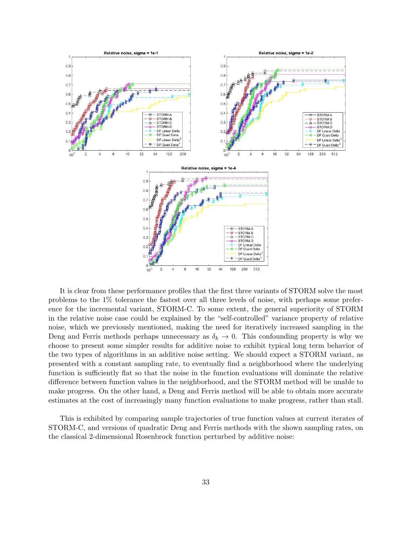

It is clear from these performance profiles that the first three variants of STORM solve the most problems to the 1% tolerance the fastest over all three levels of noise, with perhaps some preference for the incremental variant, STORM-C. To some extent, the general superiority of STORM in the relative noise case could be explained by the "self-controlled" variance property of relative noise, which we previously mentioned, making the need for iteratively increased sampling in the Deng and Ferris methods perhaps unnecessary as  $\delta_k \to 0$ . This confounding property is why we choose to present some simpler results for additive noise to exhibit typical long term behavior of the two types of algorithms in an additive noise setting. We should expect a STORM variant, as presented with a constant sampling rate, to eventually find a neighborhood where the underlying function is sufficiently flat so that the noise in the function evaluations will dominate the relative difference between function values in the neighborhood, and the STORM method will be unable to make progress. On the other hand, a Deng and Ferris method will be able to obtain more accurate estimates at the cost of increasingly many function evaluations to make progress, rather than stall.

This is exhibited by comparing sample trajectories of true function values at current iterates of STORM-C, and versions of quadratic Deng and Ferris methods with the shown sampling rates, on the classical 2-dimensional Rosenbrock function perturbed by additive noise: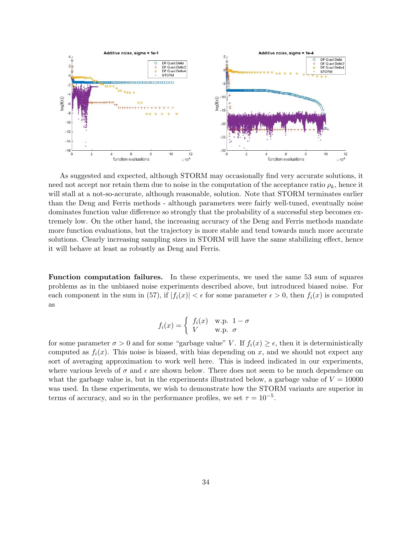

As suggested and expected, although STORM may occasionally find very accurate solutions, it need not accept nor retain them due to noise in the computation of the acceptance ratio  $\rho_k$ , hence it will stall at a not-so-accurate, although reasonable, solution. Note that STORM terminates earlier than the Deng and Ferris methods - although parameters were fairly well-tuned, eventually noise dominates function value difference so strongly that the probability of a successful step becomes extremely low. On the other hand, the increasing accuracy of the Deng and Ferris methods mandate more function evaluations, but the trajectory is more stable and tend towards much more accurate solutions. Clearly increasing sampling sizes in STORM will have the same stabilizing effect, hence it will behave at least as robustly as Deng and Ferris.

Function computation failures. In these experiments, we used the same 53 sum of squares problems as in the unbiased noise experiments described above, but introduced biased noise. For each component in the sum in (57), if  $|f_i(x)| < \epsilon$  for some parameter  $\epsilon > 0$ , then  $f_i(x)$  is computed as

$$
f_i(x) = \begin{cases} f_i(x) & \text{w.p. } 1 - \sigma \\ V & \text{w.p. } \sigma \end{cases}
$$

for some parameter  $\sigma > 0$  and for some "garbage value" V. If  $f_i(x) \geq \epsilon$ , then it is deterministically computed as  $f_i(x)$ . This noise is biased, with bias depending on x, and we should not expect any sort of averaging approximation to work well here. This is indeed indicated in our experiments, where various levels of  $\sigma$  and  $\epsilon$  are shown below. There does not seem to be much dependence on what the garbage value is, but in the experiments illustrated below, a garbage value of  $V = 10000$ was used. In these experiments, we wish to demonstrate how the STORM variants are superior in terms of accuracy, and so in the performance profiles, we set  $\tau = 10^{-5}$ .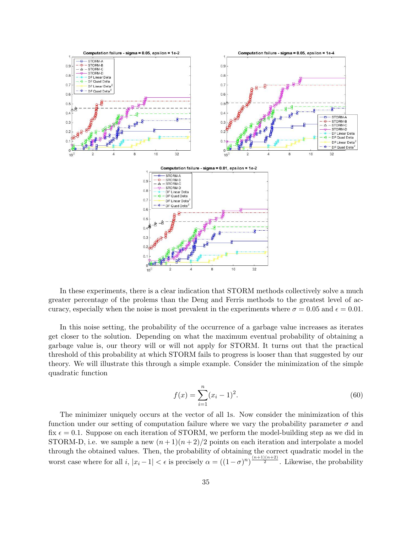

In these experiments, there is a clear indication that STORM methods collectively solve a much greater percentage of the prolems than the Deng and Ferris methods to the greatest level of accuracy, especially when the noise is most prevalent in the experiments where  $\sigma = 0.05$  and  $\epsilon = 0.01$ .

In this noise setting, the probability of the occurrence of a garbage value increases as iterates get closer to the solution. Depending on what the maximum eventual probability of obtaining a garbage value is, our theory will or will not apply for STORM. It turns out that the practical threshold of this probability at which STORM fails to progress is looser than that suggested by our theory. We will illustrate this through a simple example. Consider the minimization of the simple quadratic function

$$
f(x) = \sum_{i=1}^{n} (x_i - 1)^2.
$$
 (60)

The minimizer uniquely occurs at the vector of all 1s. Now consider the minimization of this function under our setting of computation failure where we vary the probability parameter  $\sigma$  and fix  $\epsilon = 0.1$ . Suppose on each iteration of STORM, we perform the model-building step as we did in STORM-D, i.e. we sample a new  $(n+1)(n+2)/2$  points on each iteration and interpolate a model through the obtained values. Then, the probability of obtaining the correct quadratic model in the worst case where for all i,  $|x_i - 1| < \epsilon$  is precisely  $\alpha = ((1 - \sigma)^n)^{\frac{(n+1)(n+2)}{2}}$ . Likewise, the probability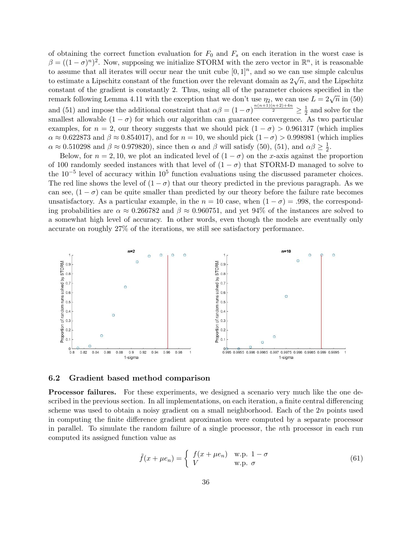of obtaining the correct function evaluation for  $F_0$  and  $F_s$  on each iteration in the worst case is  $\beta = ((1 - \sigma)^n)^2$ . Now, supposing we initialize STORM with the zero vector in  $\mathbb{R}^n$ , it is reasonable to assume that all iterates will occur near the unit cube  $[0,1]^n$ , and so we can use simple calculus to assume that an netates will occur hear the unit clube  $[0, 1]$ , and so we can use simple calculus to estimate a Lipschitz constant of the function over the relevant domain as  $2\sqrt{n}$ , and the Lipschitz constant of the gradient is constantly 2. Thus, using all of the parameter choices specified in the remark following Lemma 4.11 with the exception that we don't use  $\eta_2$ , we can use  $L = 2\sqrt{n}$  in (50) and (51) and impose the additional constraint that  $\alpha\beta = (1-\sigma)^{\frac{n(n+1)(n+2)+4n}{2}} \geq \frac{1}{2}$  $\frac{1}{2}$  and solve for the smallest allowable  $(1 - \sigma)$  for which our algorithm can guarantee convergence. As two particular examples, for  $n = 2$ , our theory suggests that we should pick  $(1 - \sigma) > 0.961317$  (which implies  $\alpha \approx 0.622873$  and  $\beta \approx 0.854017$ ), and for  $n = 10$ , we should pick  $(1 - \sigma) > 0.998981$  (which implies  $\alpha \approx 0.510298$  and  $\beta \approx 0.979820$ , since then  $\alpha$  and  $\beta$  will satisfy (50), (51), and  $\alpha\beta \geq \frac{1}{2}$  $\frac{1}{2}$ .

Below, for  $n = 2, 10$ , we plot an indicated level of  $(1 - \sigma)$  on the x-axis against the proportion of 100 randomly seeded instances with that level of  $(1 - \sigma)$  that STORM-D managed to solve to the  $10^{-5}$  level of accuracy within  $10^5$  function evaluations using the discussed parameter choices. The red line shows the level of  $(1 - \sigma)$  that our theory predicted in the previous paragraph. As we can see,  $(1 - \sigma)$  can be quite smaller than predicted by our theory before the failure rate becomes unsatisfactory. As a particular example, in the  $n = 10$  case, when  $(1 - \sigma) = .998$ , the corresponding probabilities are  $\alpha \approx 0.266782$  and  $\beta \approx 0.960751$ , and yet 94% of the instances are solved to a somewhat high level of accuracy. In other words, even though the models are eventually only accurate on roughly 27% of the iterations, we still see satisfactory performance.



#### 6.2 Gradient based method comparison

**Processor failures.** For these experiments, we designed a scenario very much like the one described in the previous section. In all implementations, on each iteration, a finite central differencing scheme was used to obtain a noisy gradient on a small neighborhood. Each of the 2n points used in computing the finite difference gradient aproximation were computed by a separate processor in parallel. To simulate the random failure of a single processor, the nth processor in each run computed its assigned function value as

$$
\tilde{f}(x + \mu e_n) = \begin{cases} f(x + \mu e_n) & \text{w.p. } 1 - \sigma \\ V & \text{w.p. } \sigma \end{cases}
$$
\n(61)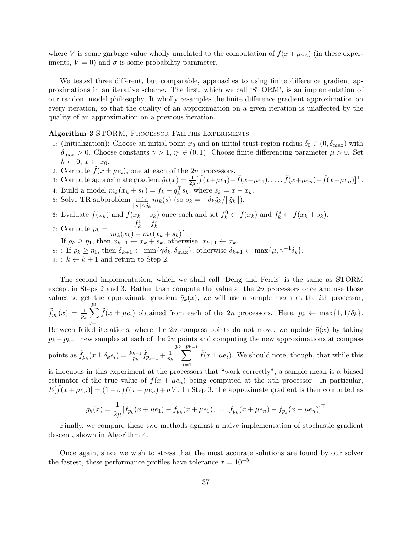where V is some garbage value wholly unrelated to the computation of  $f(x + \mu e_n)$  (in these experiments,  $V = 0$ ) and  $\sigma$  is some probability parameter.

We tested three different, but comparable, approaches to using finite difference gradient approximations in an iterative scheme. The first, which we call 'STORM', is an implementation of our random model philosophy. It wholly resamples the finite difference gradient approximation on every iteration, so that the quality of an approximation on a given iteration is unaffected by the quality of an approximation on a previous iteration.

#### Algorithm 3 STORM, Processor Failure Experiments

- 1: (Initialization): Choose an initial point  $x_0$  and an initial trust-region radius  $\delta_0 \in (0, \delta_{\max})$  with  $\delta_{\text{max}} > 0$ . Choose constants  $\gamma > 1$ ,  $\eta_1 \in (0, 1)$ . Choose finite differencing parameter  $\mu > 0$ . Set  $k \leftarrow 0, x \leftarrow x_0.$
- 2: Compute  $\tilde{f}(x \pm \mu e_i)$ , one at each of the 2n processors.
- 3: Compute approximate gradient  $\tilde{g}_k(x) = \frac{1}{2\mu} [\tilde{f}(x+\mu e_1) \tilde{f}(x-\mu e_1), \dots, \tilde{f}(x+\mu e_n) \tilde{f}(x-\mu e_n)]^{\top}$ .
- 4: Build a model  $m_k(x_k + s_k) = f_k + \tilde{g}_k^{\top} s_k$ , where  $s_k = x x_k$ .
- 5: Solve TR subproblem  $\min_{k} m_k(s)$  (so  $s_k = -\delta_k \tilde{g}_k / ||\tilde{g}_k||$ ).  $||s|| \leq \delta_k$
- 6: Evaluate  $\tilde{f}(x_k)$  and  $\tilde{f}(x_k + s_k)$  once each and set  $f_k^0 \leftarrow \tilde{f}(x_k)$  and  $f_k^s \leftarrow \tilde{f}(x_k + s_k)$ .
- 7: Compute  $\rho_k = \frac{f_k^0 f_k^s}{\sqrt{f_k^0 + f_k^s}}$  $\frac{J_k - J_k}{m_k(x_k) - m_k(x_k + s_k)}$ . If  $\rho_k \geq \eta_1$ , then  $x_{k+1} \leftarrow x_k + s_k$ ; otherwise,  $x_{k+1} \leftarrow x_k$ . 8: : If  $\rho_k \geq \eta_1$ , then  $\delta_{k+1} \leftarrow \min\{\gamma \delta_k, \delta_{\max}\}\;$ , otherwise  $\delta_{k+1} \leftarrow \max\{\mu, \gamma^{-1} \delta_k\}\;$ . 9:  $k \leftarrow k + 1$  and return to Step 2.

The second implementation, which we shall call 'Deng and Ferris' is the same as STORM except in Steps 2 and 3. Rather than compute the value at the  $2n$  processors once and use those values to get the approximate gradient  $\tilde{g}_k(x)$ , we will use a sample mean at the *i*th processor,  $\tilde{f}_{p_k}(x) \, = \, \frac{1}{p_k} \sum$ pk  $j=1$  $\tilde{f}(x \pm \mu e_i)$  obtained from each of the 2n processors. Here,  $p_k \leftarrow \max\{1, 1/\delta_k\}.$ Between failed iterations, where the 2n compass points do not move, we update  $\tilde{g}(x)$  by taking  $p_k - p_{k-1}$  new samples at each of the 2n points and computing the new approximations at compass  $p_k$  $p_{k-1}$ 

points as  $\tilde{f}_{p_k}(x \pm \delta_k e_i) = \frac{p_{k-1}}{p_k} \tilde{f}_{p_{k-1}} + \frac{1}{p_k}$  $\overline{p_k}$  $\sum$  $j=1$  $\tilde{f}(x \pm \mu e_i)$ . We should note, though, that while this

is inocuous in this experiment at the processors that "work correctly", a sample mean is a biased estimator of the true value of  $f(x + \mu e_n)$  being computed at the *n*th processor. In particular,  $E[\tilde{f}(x+\mu e_n)] = (1-\sigma)f(x+\mu e_n) + \sigma V$ . In Step 3, the approximate gradient is then computed as

$$
\tilde{g}_k(x) = \frac{1}{2\mu} [\tilde{f}_{p_k}(x + \mu e_1) - \tilde{f}_{p_k}(x + \mu e_1), \dots, \tilde{f}_{p_k}(x + \mu e_n) - \tilde{f}_{p_k}(x - \mu e_n)]^{\top}
$$

Finally, we compare these two methods against a naive implementation of stochastic gradient descent, shown in Algorithm 4.

Once again, since we wish to stress that the most accurate solutions are found by our solver the fastest, these performance profiles have tolerance  $\tau = 10^{-5}$ .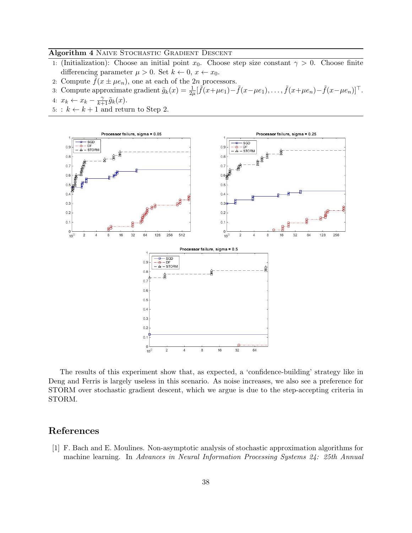#### Algorithm 4 NAIVE STOCHASTIC GRADIENT DESCENT

- 1: (Initialization): Choose an initial point  $x_0$ . Choose step size constant  $\gamma > 0$ . Choose finite differencing parameter  $\mu > 0$ . Set  $k \leftarrow 0, x \leftarrow x_0$ .
- 2: Compute  $f(x \pm \mu e_n)$ , one at each of the 2n processors.
- 3: Compute approximate gradient  $\tilde{g}_k(x) = \frac{1}{2\mu} [\tilde{f}(x+\mu e_1) \tilde{f}(x-\mu e_1), \dots, \tilde{f}(x+\mu e_n) \tilde{f}(x-\mu e_n)]^{\top}$ .
- 4:  $x_k \leftarrow x_k \frac{\gamma}{k+1} \tilde{g}_k(x)$ .
- 5:  $k \leftarrow k + 1$  and return to Step 2.



The results of this experiment show that, as expected, a 'confidence-building' strategy like in Deng and Ferris is largely useless in this scenario. As noise increases, we also see a preference for STORM over stochastic gradient descent, which we argue is due to the step-accepting criteria in STORM.

# References

[1] F. Bach and E. Moulines. Non-asymptotic analysis of stochastic approximation algorithms for machine learning. In Advances in Neural Information Processing Systems 24: 25th Annual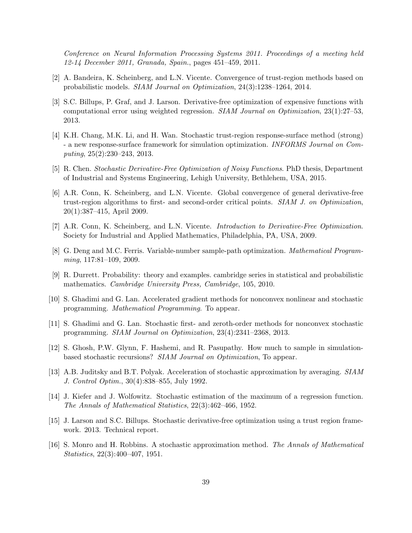Conference on Neural Information Processing Systems 2011. Proceedings of a meeting held 12-14 December 2011, Granada, Spain., pages 451–459, 2011.

- [2] A. Bandeira, K. Scheinberg, and L.N. Vicente. Convergence of trust-region methods based on probabilistic models. SIAM Journal on Optimization, 24(3):1238–1264, 2014.
- [3] S.C. Billups, P. Graf, and J. Larson. Derivative-free optimization of expensive functions with computational error using weighted regression. SIAM Journal on Optimization, 23(1):27–53, 2013.
- [4] K.H. Chang, M.K. Li, and H. Wan. Stochastic trust-region response-surface method (strong) - a new response-surface framework for simulation optimization. INFORMS Journal on Computing, 25(2):230–243, 2013.
- [5] R. Chen. Stochastic Derivative-Free Optimization of Noisy Functions. PhD thesis, Department of Industrial and Systems Engineering, Lehigh University, Bethlehem, USA, 2015.
- [6] A.R. Conn, K. Scheinberg, and L.N. Vicente. Global convergence of general derivative-free trust-region algorithms to first- and second-order critical points. SIAM J. on Optimization, 20(1):387–415, April 2009.
- [7] A.R. Conn, K. Scheinberg, and L.N. Vicente. *Introduction to Derivative-Free Optimization*. Society for Industrial and Applied Mathematics, Philadelphia, PA, USA, 2009.
- [8] G. Deng and M.C. Ferris. Variable-number sample-path optimization. Mathematical Programming, 117:81–109, 2009.
- [9] R. Durrett. Probability: theory and examples. cambridge series in statistical and probabilistic mathematics. Cambridge University Press, Cambridge, 105, 2010.
- [10] S. Ghadimi and G. Lan. Accelerated gradient methods for nonconvex nonlinear and stochastic programming. Mathematical Programming. To appear.
- [11] S. Ghadimi and G. Lan. Stochastic first- and zeroth-order methods for nonconvex stochastic programming. SIAM Journal on Optimization, 23(4):2341–2368, 2013.
- [12] S. Ghosh, P.W. Glynn, F. Hashemi, and R. Pasupathy. How much to sample in simulationbased stochastic recursions? SIAM Journal on Optimization, To appear.
- [13] A.B. Juditsky and B.T. Polyak. Acceleration of stochastic approximation by averaging. SIAM J. Control Optim., 30(4):838–855, July 1992.
- [14] J. Kiefer and J. Wolfowitz. Stochastic estimation of the maximum of a regression function. The Annals of Mathematical Statistics, 22(3):462–466, 1952.
- [15] J. Larson and S.C. Billups. Stochastic derivative-free optimization using a trust region framework. 2013. Technical report.
- [16] S. Monro and H. Robbins. A stochastic approximation method. The Annals of Mathematical Statistics, 22(3):400–407, 1951.